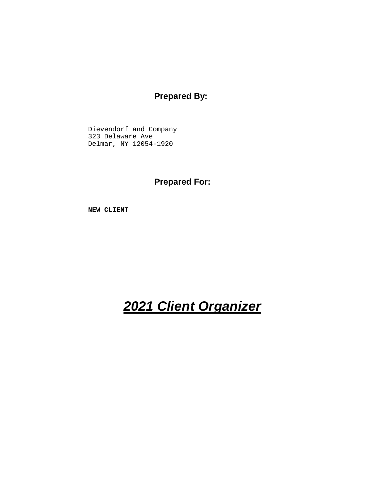# **Prepared By:**

Dievendorf and Company 323 Delaware Ave Delmar, NY 12054-1920

**Prepared For:**

**NEW CLIENT**

# **2021 Client Organizer**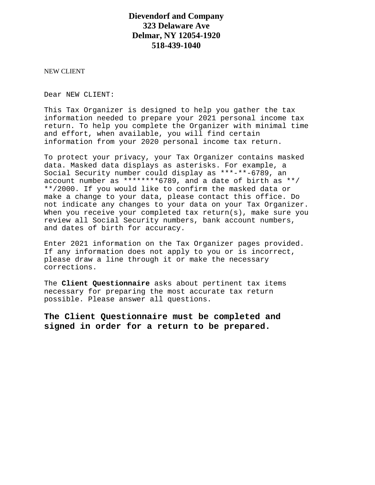# **Dievendorf and Company 323 Delaware Ave Delmar, NY 12054-1920 518-439-1040**

NEW CLIENT

Dear NEW CLIENT:

This Tax Organizer is designed to help you gather the tax information needed to prepare your 2021 personal income tax return. To help you complete the Organizer with minimal time and effort, when available, you will find certain information from your 2020 personal income tax return.

To protect your privacy, your Tax Organizer contains masked data. Masked data displays as asterisks. For example, a Social Security number could display as \*\*\*-\*\*-6789, an account number as \*\*\*\*\*\*\*\*6789, and a date of birth as \*\*/ \*\*/2000. If you would like to confirm the masked data or make a change to your data, please contact this office. Do not indicate any changes to your data on your Tax Organizer. When you receive your completed tax return(s), make sure you review all Social Security numbers, bank account numbers, and dates of birth for accuracy.

Enter 2021 information on the Tax Organizer pages provided. If any information does not apply to you or is incorrect, please draw a line through it or make the necessary corrections.

The **Client Questionnaire** asks about pertinent tax items necessary for preparing the most accurate tax return possible. Please answer all questions.

**The Client Questionnaire must be completed and signed in order for a return to be prepared.**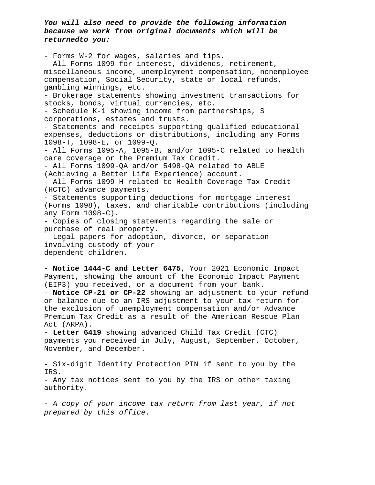**You will also need to provide the following information because we work from original documents which will be returnedto you:**

- Forms W-2 for wages, salaries and tips. - All Forms 1099 for interest, dividends, retirement, miscellaneous income, unemployment compensation, nonemployee compensation, Social Security, state or local refunds, gambling winnings, etc. - Brokerage statements showing investment transactions for stocks, bonds, virtual currencies, etc. - Schedule K-1 showing income from partnerships, S corporations, estates and trusts. - Statements and receipts supporting qualified educational expenses, deductions or distributions, including any Forms 1098-T, 1098-E, or 1099-Q. - All Forms 1095-A, 1095-B, and/or 1095-C related to health care coverage or the Premium Tax Credit. - All Forms 1099-QA and/or 5498-QA related to ABLE (Achieving a Better Life Experience) account. - All Forms 1099-H related to Health Coverage Tax Credit (HCTC) advance payments. - Statements supporting deductions for mortgage interest (Forms 1098), taxes, and charitable contributions (including any Form 1098-C). - Copies of closing statements regarding the sale or purchase of real property. - Legal papers for adoption, divorce, or separation involving custody of your dependent children.

- **Notice 1444-C and Letter 6475,** Your 2021 Economic Impact Payment, showing the amount of the Economic Impact Payment (EIP3) you received, or a document from your bank. - **Notice CP-21 or CP-22** showing an adjustment to your refund or balance due to an IRS adjustment to your tax return for the exclusion of unemployment compensation and/or Advance Premium Tax Credit as a result of the American Rescue Plan Act (ARPA).

- **Letter 6419** showing advanced Child Tax Credit (CTC) payments you received in July, August, September, October, November, and December.

- Six-digit Identity Protection PIN if sent to you by the IRS. - Any tax notices sent to you by the IRS or other taxing authority.

- A copy of your income tax return from last year, if not prepared by this office.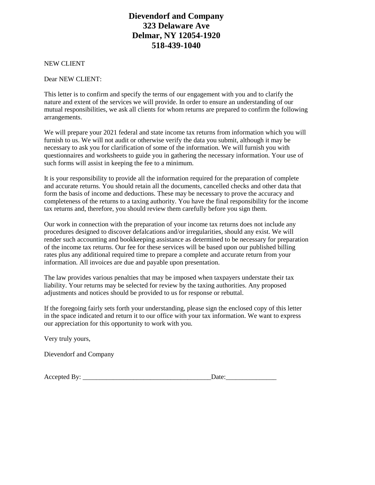# **Dievendorf and Company 323 Delaware Ave Delmar, NY 12054-1920 518-439-1040**

NEW CLIENT

Dear NEW CLIENT:

This letter is to confirm and specify the terms of our engagement with you and to clarify the nature and extent of the services we will provide. In order to ensure an understanding of our mutual responsibilities, we ask all clients for whom returns are prepared to confirm the following arrangements.

We will prepare your 2021 federal and state income tax returns from information which you will furnish to us. We will not audit or otherwise verify the data you submit, although it may be necessary to ask you for clarification of some of the information. We will furnish you with questionnaires and worksheets to guide you in gathering the necessary information. Your use of such forms will assist in keeping the fee to a minimum.

It is your responsibility to provide all the information required for the preparation of complete and accurate returns. You should retain all the documents, cancelled checks and other data that form the basis of income and deductions. These may be necessary to prove the accuracy and completeness of the returns to a taxing authority. You have the final responsibility for the income tax returns and, therefore, you should review them carefully before you sign them.

Our work in connection with the preparation of your income tax returns does not include any procedures designed to discover defalcations and/or irregularities, should any exist. We will render such accounting and bookkeeping assistance as determined to be necessary for preparation of the income tax returns. Our fee for these services will be based upon our published billing rates plus any additional required time to prepare a complete and accurate return from your information. All invoices are due and payable upon presentation.

The law provides various penalties that may be imposed when taxpayers understate their tax liability. Your returns may be selected for review by the taxing authorities. Any proposed adjustments and notices should be provided to us for response or rebuttal.

If the foregoing fairly sets forth your understanding, please sign the enclosed copy of this letter in the space indicated and return it to our office with your tax information. We want to express our appreciation for this opportunity to work with you.

Very truly yours,

Dievendorf and Company

Accepted By: \_\_\_\_\_\_\_\_\_\_\_\_\_\_\_\_\_\_\_\_\_\_\_\_\_\_\_\_\_\_\_\_\_\_\_\_\_\_Date:\_\_\_\_\_\_\_\_\_\_\_\_\_\_\_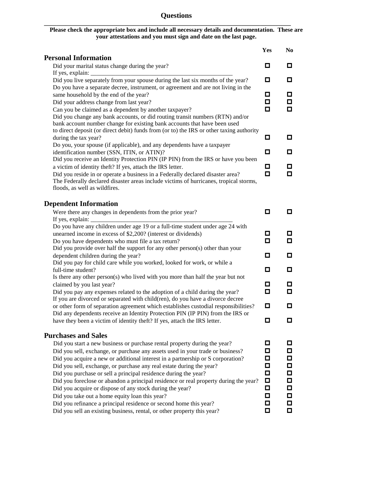# **Questions**

**\_\_\_\_\_\_\_\_\_\_\_\_\_\_\_\_\_\_\_\_\_\_\_\_\_\_\_\_\_\_\_\_\_\_\_\_\_\_\_\_\_\_\_\_\_\_\_\_\_\_\_\_\_\_\_\_\_\_\_\_\_\_\_\_\_\_\_\_\_\_\_\_\_\_\_\_\_\_\_\_**

#### **Please check the appropriate box and include all necessary details and documentation. These are your attestations and you must sign and date on the last page.**

|                                                                                                                                                                                                                                                                                                                                                                                                      | Yes                   | N <sub>0</sub>                         |
|------------------------------------------------------------------------------------------------------------------------------------------------------------------------------------------------------------------------------------------------------------------------------------------------------------------------------------------------------------------------------------------------------|-----------------------|----------------------------------------|
| <b>Personal Information</b>                                                                                                                                                                                                                                                                                                                                                                          |                       |                                        |
| Did your marital status change during the year?                                                                                                                                                                                                                                                                                                                                                      | О                     | о                                      |
| Did you live separately from your spouse during the last six months of the year?                                                                                                                                                                                                                                                                                                                     | О                     | О                                      |
| Do you have a separate decree, instrument, or agreement and are not living in the                                                                                                                                                                                                                                                                                                                    | о                     | 0.                                     |
| same household by the end of the year?<br>Did your address change from last year?                                                                                                                                                                                                                                                                                                                    | о                     |                                        |
| Can you be claimed as a dependent by another taxpayer?<br>Did you change any bank accounts, or did routing transit numbers (RTN) and/or<br>bank account number change for existing bank accounts that have been used<br>to direct deposit (or direct debit) funds from (or to) the IRS or other taxing authority                                                                                     | о                     | О.                                     |
| during the tax year?                                                                                                                                                                                                                                                                                                                                                                                 | О                     | 0                                      |
| Do you, your spouse (if applicable), and any dependents have a taxpayer                                                                                                                                                                                                                                                                                                                              |                       |                                        |
| identification number (SSN, ITIN, or ATIN)?<br>Did you receive an Identity Protection PIN (IP PIN) from the IRS or have you been                                                                                                                                                                                                                                                                     | О                     | О                                      |
| a victim of identity theft? If yes, attach the IRS letter.                                                                                                                                                                                                                                                                                                                                           | О                     | 0.                                     |
| Did you reside in or operate a business in a Federally declared disaster area?<br>The Federally declared disaster areas include victims of hurricanes, tropical storms,<br>floods, as well as wildfires.                                                                                                                                                                                             | о                     | О                                      |
| <b>Dependent Information</b>                                                                                                                                                                                                                                                                                                                                                                         |                       |                                        |
| Were there any changes in dependents from the prior year?                                                                                                                                                                                                                                                                                                                                            | о                     | 0.                                     |
| If yes, explain:<br>Do you have any children under age 19 or a full-time student under age 24 with                                                                                                                                                                                                                                                                                                   |                       |                                        |
| unearned income in excess of \$2,200? (interest or dividends)                                                                                                                                                                                                                                                                                                                                        | О                     | 0                                      |
| Do you have dependents who must file a tax return?                                                                                                                                                                                                                                                                                                                                                   | о                     | О.                                     |
| Did you provide over half the support for any other person(s) other than your                                                                                                                                                                                                                                                                                                                        |                       |                                        |
| dependent children during the year?<br>Did you pay for child care while you worked, looked for work, or while a                                                                                                                                                                                                                                                                                      | О                     | о                                      |
| full-time student?                                                                                                                                                                                                                                                                                                                                                                                   | О                     | о                                      |
| Is there any other person(s) who lived with you more than half the year but not                                                                                                                                                                                                                                                                                                                      |                       |                                        |
| claimed by you last year?<br>Did you pay any expenses related to the adoption of a child during the year?                                                                                                                                                                                                                                                                                            | О<br>о                | 0.<br>О                                |
| If you are divorced or separated with child(ren), do you have a divorce decree                                                                                                                                                                                                                                                                                                                       |                       |                                        |
| or other form of separation agreement which establishes custodial responsibilities?                                                                                                                                                                                                                                                                                                                  | О                     | О                                      |
| Did any dependents receive an Identity Protection PIN (IP PIN) from the IRS or<br>have they been a victim of identity theft? If yes, attach the IRS letter.                                                                                                                                                                                                                                          | $\Box$                | □                                      |
| <b>Purchases and Sales</b>                                                                                                                                                                                                                                                                                                                                                                           |                       |                                        |
| Did you start a new business or purchase rental property during the year?                                                                                                                                                                                                                                                                                                                            | О                     | 0                                      |
| Did you sell, exchange, or purchase any assets used in your trade or business?<br>Did you acquire a new or additional interest in a partnership or S corporation?<br>Did you sell, exchange, or purchase any real estate during the year?<br>Did you purchase or sell a principal residence during the year?<br>Did you foreclose or abandon a principal residence or real property during the year? | о<br>О<br>О<br>О<br>□ | 0.<br>0.<br>$\Box$<br>$\Box$<br>$\Box$ |
| Did you acquire or dispose of any stock during the year?<br>Did you take out a home equity loan this year?<br>Did you refinance a principal residence or second home this year?<br>Did you sell an existing business, rental, or other property this year?                                                                                                                                           | О<br>□<br>0<br>0      | $\Box$<br>$\Box$<br>0                  |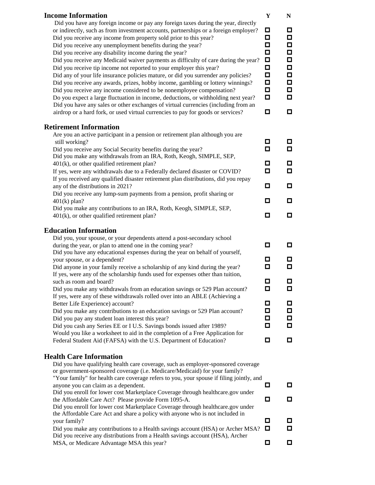| <b>Income Information</b>                                                                                                                                                  | $\mathbf Y$ | ${\bf N}$ |
|----------------------------------------------------------------------------------------------------------------------------------------------------------------------------|-------------|-----------|
| Did you have any foreign income or pay any foreign taxes during the year, directly<br>or indirectly, such as from investment accounts, partnerships or a foreign employer? | 0           | Д         |
| Did you receive any income from property sold prior to this year?                                                                                                          | О           | Д         |
| Did you receive any unemployment benefits during the year?                                                                                                                 | □           | О         |
| Did you receive any disability income during the year?                                                                                                                     | О           | О         |
| Did you receive any Medicaid waiver payments as difficulty of care during the year?                                                                                        | $\Box$      | П         |
| Did you receive tip income not reported to your employer this year?                                                                                                        | $\Box$      | П         |
| Did any of your life insurance policies mature, or did you surrender any policies?                                                                                         | $\Box$      | $\Box$    |
| Did you receive any awards, prizes, hobby income, gambling or lottery winnings?                                                                                            | Ο           | $\Box$    |
| Did you receive any income considered to be nonemployee compensation?                                                                                                      | □           | Д         |
| Do you expect a large fluctuation in income, deductions, or withholding next year?                                                                                         | О           | О         |
| Did you have any sales or other exchanges of virtual currencies (including from an                                                                                         |             |           |
| airdrop or a hard fork, or used virtual currencies to pay for goods or services?                                                                                           | о           | ◘         |
| <b>Retirement Information</b>                                                                                                                                              |             |           |
| Are you an active participant in a pension or retirement plan although you are                                                                                             |             |           |
| still working?                                                                                                                                                             | О           | ◘         |
| Did you receive any Social Security benefits during the year?                                                                                                              | О           | $\Box$    |
| Did you make any withdrawals from an IRA, Roth, Keogh, SIMPLE, SEP,                                                                                                        |             |           |
| $401(k)$ , or other qualified retirement plan?                                                                                                                             | 0           | ◘         |
| If yes, were any withdrawals due to a Federally declared disaster or COVID?                                                                                                | □           | О         |
| If you received any qualified disaster retirement plan distributions, did you repay                                                                                        |             |           |
| any of the distributions in 2021?<br>Did you receive any lump-sum payments from a pension, profit sharing or                                                               | О           | О         |
| $401(k)$ plan?                                                                                                                                                             | 0           | ◘         |
| Did you make any contributions to an IRA, Roth, Keogh, SIMPLE, SEP,                                                                                                        |             |           |
| $401(k)$ , or other qualified retirement plan?                                                                                                                             | □           | ◘         |
|                                                                                                                                                                            |             |           |
| <b>Education Information</b>                                                                                                                                               |             |           |
| Did you, your spouse, or your dependents attend a post-secondary school                                                                                                    |             |           |
| during the year, or plan to attend one in the coming year?<br>Did you have any educational expenses during the year on behalf of yourself,                                 | О           | ◻         |
| your spouse, or a dependent?                                                                                                                                               | o           | О         |
| Did anyone in your family receive a scholarship of any kind during the year?                                                                                               | О           | ◘         |
| If yes, were any of the scholarship funds used for expenses other than tuition,                                                                                            |             |           |
| such as room and board?                                                                                                                                                    | ◻           | О         |
| Did you make any withdrawals from an education savings or 529 Plan account?                                                                                                | о           | ◻         |
| If yes, were any of these withdrawals rolled over into an ABLE (Achieving a                                                                                                |             |           |
| Better Life Experience) account?                                                                                                                                           | о           | O         |
| Did you make any contributions to an education savings or 529 Plan account?                                                                                                | О           | ◻         |
| Did you pay any student loan interest this year?                                                                                                                           | О<br>о      | ◻         |
| Did you cash any Series EE or I U.S. Savings bonds issued after 1989?<br>Would you like a worksheet to aid in the completion of a Free Application for                     |             | О         |
| Federal Student Aid (FAFSA) with the U.S. Department of Education?                                                                                                         | о           | □         |
|                                                                                                                                                                            |             |           |
| <b>Health Care Information</b>                                                                                                                                             |             |           |
| Did you have qualifying health care coverage, such as employer-sponsored coverage                                                                                          |             |           |
| or government-sponsored coverage (i.e. Medicare/Medicaid) for your family?                                                                                                 |             |           |
| "Your family" for health care coverage refers to you, your spouse if filing jointly, and                                                                                   |             |           |
| anyone you can claim as a dependent.<br>Did you enroll for lower cost Marketplace Coverage through healthcare.gov under                                                    | о           | ◻         |
| the Affordable Care Act? Please provide Form 1095-A.                                                                                                                       | о           | O         |
| Did you enroll for lower cost Marketplace Coverage through healthcare.gov under                                                                                            |             |           |
| the Affordable Care Act and share a policy with anyone who is not included in                                                                                              |             |           |
| your family?                                                                                                                                                               | о           | O         |
| Did you make any contributions to a Health savings account (HSA) or Archer MSA?                                                                                            | о           | П         |
| Did you receive any distributions from a Health savings account (HSA), Archer                                                                                              |             |           |
| MSA, or Medicare Advantage MSA this year?                                                                                                                                  | □           | □         |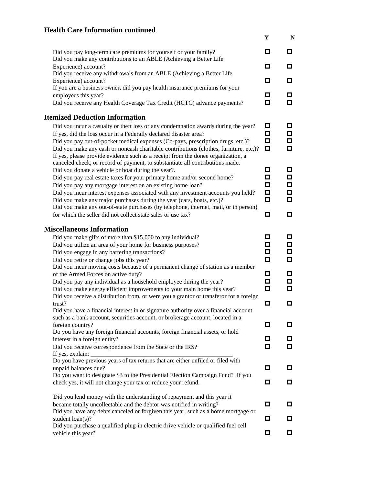# **Health Care Information continued**

|                                                                                                                                                                          | Y      | N      |
|--------------------------------------------------------------------------------------------------------------------------------------------------------------------------|--------|--------|
| Did you pay long-term care premiums for yourself or your family?<br>Did you make any contributions to an ABLE (Achieving a Better Life                                   | о      | о      |
| Experience) account?                                                                                                                                                     | О      | о      |
| Did you receive any withdrawals from an ABLE (Achieving a Better Life                                                                                                    |        |        |
| Experience) account?<br>If you are a business owner, did you pay health insurance premiums for your                                                                      | о      | о      |
| employees this year?                                                                                                                                                     | □      | о      |
| Did you receive any Health Coverage Tax Credit (HCTC) advance payments?                                                                                                  | О      | о      |
| <b>Itemized Deduction Information</b>                                                                                                                                    |        |        |
| Did you incur a casualty or theft loss or any condemnation awards during the year?                                                                                       | o      | O      |
| If yes, did the loss occur in a Federally declared disaster area?                                                                                                        | о      | о      |
| Did you pay out-of-pocket medical expenses (Co-pays, prescription drugs, etc.)?<br>Did you make any cash or noncash charitable contributions (clothes, furniture, etc.)? | о<br>о | о<br>о |
| If yes, please provide evidence such as a receipt from the donee organization, a                                                                                         |        |        |
| canceled check, or record of payment, to substantiate all contributions made.                                                                                            |        |        |
| Did you donate a vehicle or boat during the year?.                                                                                                                       | О<br>О | □<br>□ |
| Did you pay real estate taxes for your primary home and/or second home?<br>Did you pay any mortgage interest on an existing home loan?                                   | О      | □      |
| Did you incur interest expenses associated with any investment accounts you held?                                                                                        | □      | о      |
| Did you make any major purchases during the year (cars, boats, etc.)?                                                                                                    | □      | о      |
| Did you make any out-of-state purchases (by telephone, internet, mail, or in person)                                                                                     |        |        |
| for which the seller did not collect state sales or use tax?                                                                                                             | □      | о      |
| <b>Miscellaneous Information</b>                                                                                                                                         |        |        |
| Did you make gifts of more than \$15,000 to any individual?                                                                                                              | о      | о      |
| Did you utilize an area of your home for business purposes?                                                                                                              | о      | □      |
| Did you engage in any bartering transactions?<br>Did you retire or change jobs this year?                                                                                | о<br>□ | О<br>о |
| Did you incur moving costs because of a permanent change of station as a member                                                                                          |        |        |
| of the Armed Forces on active duty?                                                                                                                                      | О      | о      |
| Did you pay any individual as a household employee during the year?                                                                                                      | о      | о      |
| Did you make energy efficient improvements to your main home this year?<br>Did you receive a distribution from, or were you a grantor or transferor for a foreign        | □      | о      |
| trust?                                                                                                                                                                   | О      | ◘      |
| Did you have a financial interest in or signature authority over a financial account                                                                                     |        |        |
| such as a bank account, securities account, or brokerage account, located in a                                                                                           |        |        |
| foreign country?<br>Do you have any foreign financial accounts, foreign financial assets, or hold                                                                        | о      | O      |
| interest in a foreign entity?                                                                                                                                            | о      | П      |
| Did you receive correspondence from the State or the IRS?                                                                                                                | □      | О      |
| If yes, explain:                                                                                                                                                         |        |        |
| Do you have previous years of tax returns that are either unfiled or filed with<br>unpaid balances due?                                                                  | □      | O      |
| Do you want to designate \$3 to the Presidential Election Campaign Fund? If you                                                                                          |        |        |
| check yes, it will not change your tax or reduce your refund.                                                                                                            | о      | о      |
| Did you lend money with the understanding of repayment and this year it                                                                                                  |        |        |
| became totally uncollectable and the debtor was notified in writing?                                                                                                     | 0      | O      |
| Did you have any debts canceled or forgiven this year, such as a home mortgage or                                                                                        |        |        |
| student $\text{loan}(s)$ ?<br>Did you purchase a qualified plug-in electric drive vehicle or qualified fuel cell                                                         | о      | □      |
| vehicle this year?                                                                                                                                                       | ◘      | О      |
|                                                                                                                                                                          |        |        |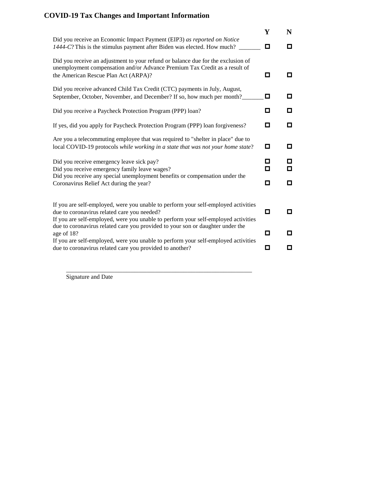# **COVID-19 Tax Changes and Important Information**

|                                                                                                                                                                                                                         | Y      | N      |
|-------------------------------------------------------------------------------------------------------------------------------------------------------------------------------------------------------------------------|--------|--------|
| Did you receive an Economic Impact Payment (EIP3) as reported on Notice<br>1444-C? This is the stimulus payment after Biden was elected. How much?                                                                      | о      | о      |
| Did you receive an adjustment to your refund or balance due for the exclusion of<br>unemployment compensation and/or Advance Premium Tax Credit as a result of<br>the American Rescue Plan Act (ARPA)?                  | о      | о      |
| Did you receive advanced Child Tax Credit (CTC) payments in July, August,<br>September, October, November, and December? If so, how much per month?                                                                     | о      | О      |
| Did you receive a Paycheck Protection Program (PPP) loan?                                                                                                                                                               | □      | О      |
| If yes, did you apply for Paycheck Protection Program (PPP) loan forgiveness?                                                                                                                                           | О      | □      |
| Are you a telecommuting employee that was required to "shelter in place" due to<br>local COVID-19 protocols while working in a state that was not your home state?                                                      | о      | o      |
| Did you receive emergency leave sick pay?<br>Did you receive emergency family leave wages?                                                                                                                              | п<br>о | О<br>О |
| Did you receive any special unemployment benefits or compensation under the<br>Coronavirus Relief Act during the year?                                                                                                  | о      | О      |
| If you are self-employed, were you unable to perform your self-employed activities<br>due to coronavirus related care you needed?<br>If you are self-employed, were you unable to perform your self-employed activities | о      | о      |
| due to coronavirus related care you provided to your son or daughter under the<br>age of 18?                                                                                                                            | о      | о      |
| If you are self-employed, were you unable to perform your self-employed activities<br>due to coronavirus related care you provided to another?                                                                          | П      | О      |
|                                                                                                                                                                                                                         |        |        |

\_\_\_\_\_\_\_\_\_\_\_\_\_\_\_\_\_\_\_\_\_\_\_\_\_\_\_\_\_\_\_\_\_\_\_\_\_\_\_\_\_\_\_\_\_\_

Signature and Date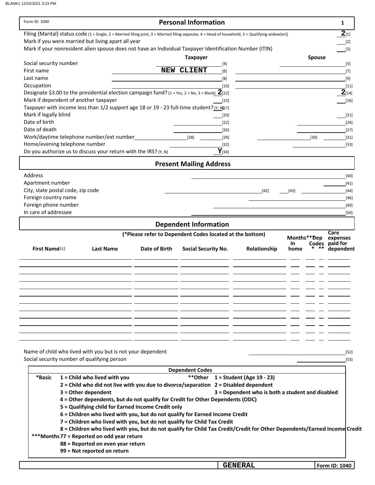| Form ID: 1040                                                                                                                                     |                                                                                                                           |                                                          | <b>Personal Information</b>    |                |                                                  |                    | 1                          |
|---------------------------------------------------------------------------------------------------------------------------------------------------|---------------------------------------------------------------------------------------------------------------------------|----------------------------------------------------------|--------------------------------|----------------|--------------------------------------------------|--------------------|----------------------------|
| Filing (Marital) status code (1 = Single, 2 = Married filing joint, 3 = Married filing separate, 4 = Head of household, 5 = Qualifying widow(er)) |                                                                                                                           |                                                          |                                |                |                                                  |                    | $2_{[1]}$                  |
| Mark if you were married but living apart all year                                                                                                |                                                                                                                           |                                                          |                                |                |                                                  |                    | $[2]$                      |
| Mark if your nonresident alien spouse does not have an Individual Taxpayer Identification Number (ITIN)                                           |                                                                                                                           |                                                          |                                |                |                                                  |                    | $[3]$                      |
|                                                                                                                                                   |                                                                                                                           |                                                          | <b>Taxpayer</b>                |                |                                                  |                    | <b>Spouse</b>              |
| Social security number                                                                                                                            |                                                                                                                           |                                                          | NEW CLIENT                     | $[4]$          |                                                  |                    | $[5]$                      |
| First name<br>Last name                                                                                                                           |                                                                                                                           |                                                          |                                | [6]            |                                                  |                    | $[7]$                      |
| Occupation                                                                                                                                        |                                                                                                                           |                                                          |                                | [8]<br>$[10]$  |                                                  |                    | $[9]$<br>$[11]$            |
| Designate \$3.00 to the presidential election campaign fund? $(1 = Yes, 2 = No, 3 = Blank)$ $2$ [12]                                              |                                                                                                                           |                                                          |                                |                |                                                  |                    | $2_{[14]}$                 |
| Mark if dependent of another taxpayer                                                                                                             |                                                                                                                           |                                                          |                                | $[15]$         |                                                  |                    | $[16]$                     |
| Taxpayer with income less than 1/2 support age 18 or 19 - 23 full-time student? (Y, N[17]                                                         |                                                                                                                           |                                                          |                                |                |                                                  |                    |                            |
| Mark if legally blind                                                                                                                             |                                                                                                                           |                                                          |                                | $[20]$         |                                                  |                    | $[21]$                     |
| Date of birth                                                                                                                                     |                                                                                                                           |                                                          |                                | $[22]$         |                                                  |                    | $[24]$                     |
| Date of death                                                                                                                                     |                                                                                                                           |                                                          |                                | $[26]$         |                                                  |                    | $[27]$                     |
| Work/daytime telephone number/ext number                                                                                                          |                                                                                                                           |                                                          | [28]                           | $[29]$         |                                                  | $[30]$             | $[31]$                     |
| Home/evening telephone number                                                                                                                     |                                                                                                                           |                                                          |                                | $[32]$         |                                                  |                    | $[33]$                     |
| Do you authorize us to discuss your return with the IRS? (Y, N)                                                                                   |                                                                                                                           |                                                          |                                | $Y_{[34]}$     |                                                  |                    |                            |
|                                                                                                                                                   |                                                                                                                           |                                                          | <b>Present Mailing Address</b> |                |                                                  |                    |                            |
| Address                                                                                                                                           |                                                                                                                           |                                                          |                                |                |                                                  |                    | $[40]$                     |
| Apartment number                                                                                                                                  |                                                                                                                           |                                                          |                                |                |                                                  |                    | $[41]$                     |
| City, state postal code, zip code                                                                                                                 |                                                                                                                           |                                                          |                                |                | $[42]$                                           | $[43]$             | $[44]$                     |
| Foreign country name                                                                                                                              |                                                                                                                           |                                                          |                                |                |                                                  |                    | $[46]$                     |
| Foreign phone number                                                                                                                              |                                                                                                                           |                                                          |                                |                |                                                  |                    | $[49]$                     |
| In care of addressee                                                                                                                              |                                                                                                                           |                                                          |                                |                |                                                  |                    | [50]                       |
|                                                                                                                                                   |                                                                                                                           |                                                          | <b>Dependent Information</b>   |                |                                                  |                    |                            |
|                                                                                                                                                   |                                                                                                                           | (*Please refer to Dependent Codes located at the bottom) |                                |                |                                                  |                    | Care                       |
|                                                                                                                                                   |                                                                                                                           |                                                          |                                |                |                                                  | Months**Dep<br>in. | expenses<br>Codes paid for |
| <b>First Name<sup>51</sup></b>                                                                                                                    | <b>Last Name</b>                                                                                                          | Date of Birth                                            | <b>Social Security No.</b>     |                | Relationship                                     | home               | dependent                  |
|                                                                                                                                                   |                                                                                                                           |                                                          |                                |                |                                                  |                    |                            |
|                                                                                                                                                   |                                                                                                                           |                                                          |                                |                |                                                  |                    |                            |
|                                                                                                                                                   |                                                                                                                           |                                                          |                                |                |                                                  |                    |                            |
|                                                                                                                                                   |                                                                                                                           |                                                          |                                |                |                                                  |                    |                            |
|                                                                                                                                                   |                                                                                                                           |                                                          |                                |                |                                                  |                    |                            |
|                                                                                                                                                   |                                                                                                                           |                                                          |                                |                |                                                  |                    |                            |
|                                                                                                                                                   |                                                                                                                           |                                                          |                                |                |                                                  |                    |                            |
|                                                                                                                                                   |                                                                                                                           |                                                          |                                |                |                                                  |                    |                            |
|                                                                                                                                                   |                                                                                                                           |                                                          |                                |                |                                                  |                    |                            |
|                                                                                                                                                   |                                                                                                                           |                                                          |                                |                |                                                  |                    |                            |
|                                                                                                                                                   |                                                                                                                           |                                                          |                                |                |                                                  |                    |                            |
| Name of child who lived with you but is not your dependent                                                                                        |                                                                                                                           |                                                          |                                |                |                                                  |                    | $[52]$                     |
| Social security number of qualifying person                                                                                                       |                                                                                                                           |                                                          |                                |                |                                                  |                    | $[53]$                     |
|                                                                                                                                                   |                                                                                                                           |                                                          |                                |                |                                                  |                    |                            |
|                                                                                                                                                   |                                                                                                                           |                                                          | <b>Dependent Codes</b>         |                |                                                  |                    |                            |
| *Basic                                                                                                                                            | $1 =$ Child who lived with you<br>2 = Child who did not live with you due to divorce/separation 2 = Disabled dependent    |                                                          |                                |                | ** Other $1 =$ Student (Age 19 - 23)             |                    |                            |
| $3 =$ Other dependent                                                                                                                             |                                                                                                                           |                                                          |                                |                | 3 = Dependent who is both a student and disabled |                    |                            |
|                                                                                                                                                   | 4 = Other dependents, but do not qualify for Credit for Other Dependents (ODC)                                            |                                                          |                                |                |                                                  |                    |                            |
|                                                                                                                                                   | 5 = Qualifying child for Earned Income Credit only                                                                        |                                                          |                                |                |                                                  |                    |                            |
|                                                                                                                                                   | 6 = Children who lived with you, but do not qualify for Earned Income Credit                                              |                                                          |                                |                |                                                  |                    |                            |
|                                                                                                                                                   | 7 = Children who lived with you, but do not qualify for Child Tax Credit                                                  |                                                          |                                |                |                                                  |                    |                            |
|                                                                                                                                                   | 8 = Children who lived with you, but do not qualify for Child Tax Credit/Credit for Other Dependents/Earned Income Credit |                                                          |                                |                |                                                  |                    |                            |
| *** Months 77 = Reported on odd year return                                                                                                       |                                                                                                                           |                                                          |                                |                |                                                  |                    |                            |
|                                                                                                                                                   | 88 = Reported on even year return                                                                                         |                                                          |                                |                |                                                  |                    |                            |
|                                                                                                                                                   | 99 = Not reported on return                                                                                               |                                                          |                                |                |                                                  |                    |                            |
|                                                                                                                                                   |                                                                                                                           |                                                          |                                |                |                                                  |                    |                            |
|                                                                                                                                                   |                                                                                                                           |                                                          |                                | <b>GENERAL</b> |                                                  |                    | Form ID: 1040              |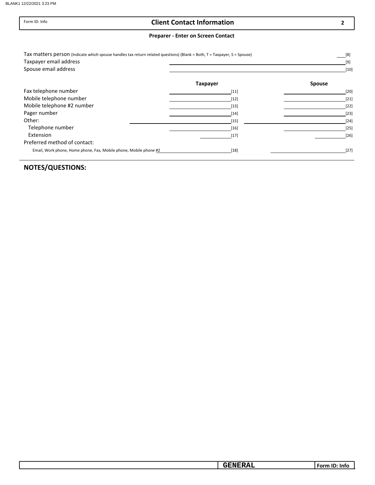Form ID: Info

#### Client Contact Information

2

#### Preparer - Enter on Screen Contact

| Tax matters person (Indicate which spouse handles tax return related questions) (Blank = Both, T = Taxpayer, S = Spouse) |                 | [8]           |
|--------------------------------------------------------------------------------------------------------------------------|-----------------|---------------|
| Taxpayer email address                                                                                                   |                 | $[9]$         |
| Spouse email address                                                                                                     |                 | $[10]$        |
|                                                                                                                          | <b>Taxpayer</b> | <b>Spouse</b> |
| Fax telephone number                                                                                                     | $[11]$          | $[20]$        |
| Mobile telephone number                                                                                                  | $[12]$          | $[21]$        |
| Mobile telephone #2 number                                                                                               | $[13]$          | $[22]$        |
| Pager number                                                                                                             | $[14]$          | $[23]$        |
| Other:                                                                                                                   | $[15]$          | $[24]$        |
| Telephone number                                                                                                         | $[16]$          | $[25]$        |
| Extension                                                                                                                | $[17]$          | $[26]$        |
| Preferred method of contact:                                                                                             |                 |               |
| Email, Work phone, Home phone, Fax, Mobile phone, Mobile phone #2                                                        | $[18]$          | $[27]$        |

| __<br>--<br>$\overline{\phantom{a}}$<br>-<br>- - - - - -<br>-Int |
|------------------------------------------------------------------|
|------------------------------------------------------------------|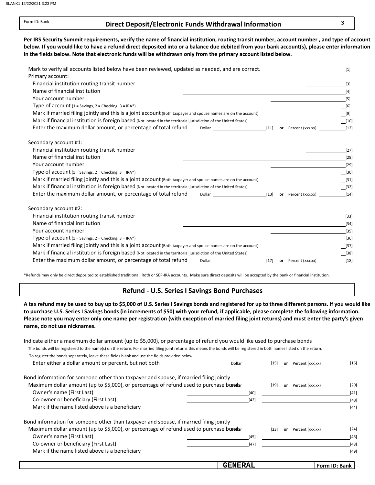Form ID: Bank

#### Direct Deposit/Electronic Funds Withdrawal Information 3

below. If you would like to have a refund direct deposited into or a balance due debited from your bank account(s), please enter information in the fields below. Note that electronic funds will be withdrawn only from the primary account listed below. Per IRS Security Summit requirements, verify the name of financial institution, routing transit number, account number , and type of account

| Mark to verify all accounts listed below have been reviewed, updated as needed, and are correct.                              |        |                     | $[1]$                                     |
|-------------------------------------------------------------------------------------------------------------------------------|--------|---------------------|-------------------------------------------|
| Primary account:                                                                                                              |        |                     |                                           |
| Financial institution routing transit number                                                                                  |        |                     | $[3]$                                     |
| Name of financial institution                                                                                                 |        |                     | $[4]$                                     |
| Your account number                                                                                                           |        |                     | $[5]$                                     |
| Type of account (1 = Savings, 2 = Checking, 3 = IRA*)                                                                         |        |                     | $\_$ [6]                                  |
| Mark if married filing jointly and this is a joint account (Both taxpayer and spouse names are on the account)                |        |                     | [9]                                       |
| Mark if financial institution is foreign based (Not located in the territorial jurisdiction of the United States)             |        |                     | $[10]$                                    |
| Enter the maximum dollar amount, or percentage of total refund<br>Dollar<br><u> 1980 - John Stone, amerikansk politiker (</u> | $[11]$ | or Percent (xxx.xx) | $[12]$                                    |
| Secondary account #1:                                                                                                         |        |                     |                                           |
| Financial institution routing transit number                                                                                  |        |                     | $[27]$                                    |
| Name of financial institution                                                                                                 |        |                     | $[28]$                                    |
| Your account number                                                                                                           |        |                     | $[29]$                                    |
| Type of account $(1 =$ Savings, $2 =$ Checking, $3 =$ IRA*)                                                                   |        |                     | [30]                                      |
| Mark if married filing jointly and this is a joint account (Both taxpayer and spouse names are on the account)                |        |                     | $[31]$                                    |
| Mark if financial institution is foreign based (Not located in the territorial jurisdiction of the United States)             |        |                     | $\begin{array}{c} \boxed{32} \end{array}$ |
| Enter the maximum dollar amount, or percentage of total refund<br>$[13]$ or Percent (xxx.xx)<br>Dollar                        |        |                     | $[14]$                                    |
| Secondary account #2:                                                                                                         |        |                     |                                           |
| Financial institution routing transit number                                                                                  |        |                     | $[33]$                                    |
| Name of financial institution                                                                                                 |        |                     | $[34]$                                    |
| Your account number                                                                                                           |        |                     | $[35]$                                    |
| Type of account $(1 =$ Savings, $2 =$ Checking, $3 =$ IRA*)                                                                   |        |                     | $[36]$                                    |
| Mark if married filing jointly and this is a joint account (Both taxpayer and spouse names are on the account)                |        |                     | $[37]$                                    |
| Mark if financial institution is foreign based (Not located in the territorial jurisdiction of the United States)             |        |                     | $[38]$                                    |
| Enter the maximum dollar amount, or percentage of total refund<br>Dollar                                                      | $[17]$ | or Percent (xxx.xx) | $[18]$                                    |

\*Refunds may only be direct deposited to established traditional, Roth or SEP-IRA accounts. Make sure direct deposits will be accepted by the bank or financial institution.

#### Refund - U.S. Series I Savings Bond Purchases

A tax refund may be used to buy up to \$5,000 of U.S. Series I Savings bonds and registered for up to three different persons. If you would like to purchase U.S. Series I Savings bonds (in increments of \$50) with your refund, if applicable, please complete the following information. name, do not use nicknames. Please note you may enter only one name per registration (with exception of married filing joint returns) and must enter the party's given

| Indicate either a maximum dollar amount (up to \$5,000), or percentage of refund you would like used to purchase bonds                                                  |                |        |    |                  |               |
|-------------------------------------------------------------------------------------------------------------------------------------------------------------------------|----------------|--------|----|------------------|---------------|
| The bonds will be registered to the name(s) on the return. For married filing joint returns this means the bonds will be registered in both names listed on the return. |                |        |    |                  |               |
| To register the bonds separately, leave these fields blank and use the fields provided below.                                                                           |                |        |    |                  |               |
| Enter either a dollar amount or percent, but not both                                                                                                                   | Dollar         | $[15]$ | or | Percent (xxx.xx) | $[16]$        |
| Bond information for someone other than taxpayer and spouse, if married filing jointly                                                                                  |                |        |    |                  |               |
| Maximum dollar amount (up to \$5,000), or percentage of refund used to purchase bands                                                                                   |                | $[19]$ | or | Percent (xxx.xx) | [20]          |
| Owner's name (First Last)                                                                                                                                               |                | $[40]$ |    |                  | $[41]$        |
| Co-owner or beneficiary (First Last)                                                                                                                                    |                | $[42]$ |    |                  | $[43]$        |
| Mark if the name listed above is a beneficiary                                                                                                                          |                |        |    |                  | [44]          |
| Bond information for someone other than taxpayer and spouse, if married filing jointly                                                                                  |                |        |    |                  |               |
| Maximum dollar amount (up to \$5,000), or percentage of refund used to purchase bands                                                                                   |                | $[23]$ | or | Percent (xxx.xx) | $[24]$        |
| Owner's name (First Last)                                                                                                                                               |                | $[45]$ |    |                  | $[46]$        |
| Co-owner or beneficiary (First Last)                                                                                                                                    |                | $[47]$ |    |                  | $[48]$        |
| Mark if the name listed above is a beneficiary                                                                                                                          |                |        |    |                  | $[49]$        |
|                                                                                                                                                                         | <b>GENERAL</b> |        |    |                  | Form ID: Bank |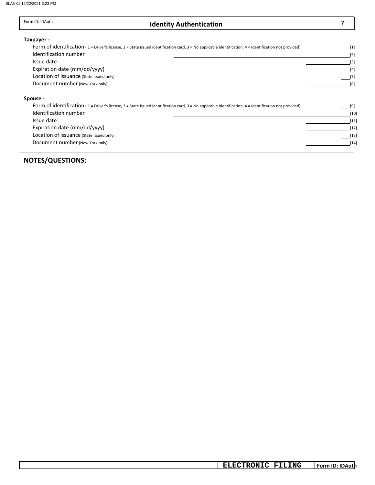#### Identity Authentication 7 Form ID: IDAuth Form of identification (1 = Driver's license, 2 = State issued identification card, 3 = No applicable identification, 4 = Identification not provided) Identification number Issue date Expiration date (mm/dd/yyyy) Issue date Identification number Taxpayer - Spouse - Form of identification ( 1 = Driver's license, 2 = State issued identification card, 3 = No applicable identification, 4 = Identification not provided) [6]  $[5]$ [3] [4] [9] [1] [2] [10] [11] Expiration date (mm/dd/yyyy) [12] [12] [13] Document number (New York only) Location of issuance (State issued only) Location of issuance (State issued only)

Document number (New York only) [14] [14]

#### NOTES/QUESTIONS:

Form ID: IDAuth **ELECTRONIC FILING**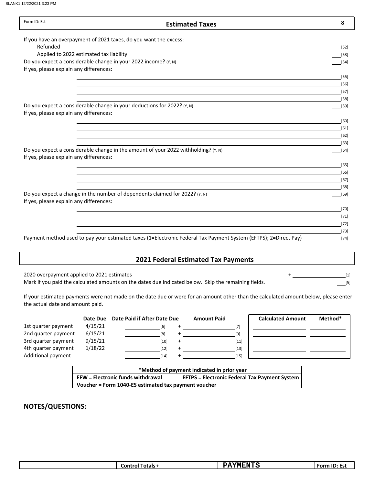BLANK1 12/22/2021 3:23 PM

| Form ID: Est                               | <b>Estimated Taxes</b>                                                                                                              | 8                |
|--------------------------------------------|-------------------------------------------------------------------------------------------------------------------------------------|------------------|
|                                            | If you have an overpayment of 2021 taxes, do you want the excess:                                                                   |                  |
| Refunded                                   |                                                                                                                                     | $[52]$           |
|                                            | Applied to 2022 estimated tax liability                                                                                             | $[53]$           |
|                                            | Do you expect a considerable change in your 2022 income? (Y, N)                                                                     | $[54]$           |
| If yes, please explain any differences:    |                                                                                                                                     |                  |
|                                            |                                                                                                                                     | $[55]$           |
|                                            |                                                                                                                                     | [56]             |
|                                            |                                                                                                                                     | $[57]$           |
|                                            |                                                                                                                                     | [58]             |
|                                            | Do you expect a considerable change in your deductions for 2022? (Y, N)                                                             | $[59]$           |
| If yes, please explain any differences:    |                                                                                                                                     |                  |
|                                            |                                                                                                                                     | [60]             |
|                                            |                                                                                                                                     | $[61]$           |
|                                            |                                                                                                                                     | $[62]$           |
|                                            | Do you expect a considerable change in the amount of your 2022 withholding? (Y, N)                                                  | $[63]$<br>$[64]$ |
| If yes, please explain any differences:    |                                                                                                                                     |                  |
|                                            |                                                                                                                                     | [65]             |
|                                            |                                                                                                                                     | [66]             |
|                                            |                                                                                                                                     | $[67]$           |
|                                            |                                                                                                                                     | [68]             |
|                                            | Do you expect a change in the number of dependents claimed for 2022? (Y, N)                                                         | [69]             |
| If yes, please explain any differences:    |                                                                                                                                     |                  |
|                                            |                                                                                                                                     | $[70]$           |
|                                            |                                                                                                                                     | $[71]$           |
|                                            |                                                                                                                                     | $[72]$           |
|                                            |                                                                                                                                     | $[73]$           |
|                                            | Payment method used to pay your estimated taxes (1=Electronic Federal Tax Payment System (EFTPS); 2=Direct Pay)                     | $[74]$           |
|                                            |                                                                                                                                     |                  |
|                                            | <b>2021 Federal Estimated Tax Payments</b>                                                                                          |                  |
|                                            |                                                                                                                                     |                  |
| 2020 overpayment applied to 2021 estimates |                                                                                                                                     | $[1]$            |
|                                            | Mark if you paid the calculated amounts on the dates due indicated below. Skip the remaining fields.                                | $[5]$            |
| the actual date and amount paid.           | If your estimated payments were not made on the date due or were for an amount other than the calculated amount below, please enter |                  |

|                     | Date Due | Date Paid if After Date Due | <b>Amount Paid</b> | <b>Calculated Amount</b> | Method* |
|---------------------|----------|-----------------------------|--------------------|--------------------------|---------|
| 1st quarter payment | 4/15/21  | [6]                         |                    |                          |         |
| 2nd quarter payment | 6/15/21  | [8]                         | [9]                |                          |         |
| 3rd quarter payment | 9/15/21  | [10]                        | $[11]$             |                          |         |
| 4th quarter payment | 1/18/22  | [12]                        | $[13]$             |                          |         |
| Additional payment  |          | $[14]$                      | [15]               |                          |         |
|                     |          |                             |                    |                          |         |

 $\mathcal{L}_{\mathcal{A}}$ 

| *Method of payment indicated in prior year           |                                                      |  |  |  |
|------------------------------------------------------|------------------------------------------------------|--|--|--|
| <b>EFW</b> = Electronic funds withdrawal             | <b>EFTPS = Electronic Federal Tax Payment System</b> |  |  |  |
| Voucher = Form 1040-ES estimated tax payment voucher |                                                      |  |  |  |
|                                                      |                                                      |  |  |  |

| -----<br>$\overline{\phantom{a}}$<br>TП<br>чN<br>⊺otals -<br>- ----<br>---<br>_or<br>.<br>ט בוצב<br>-51<br>. |
|--------------------------------------------------------------------------------------------------------------|
|--------------------------------------------------------------------------------------------------------------|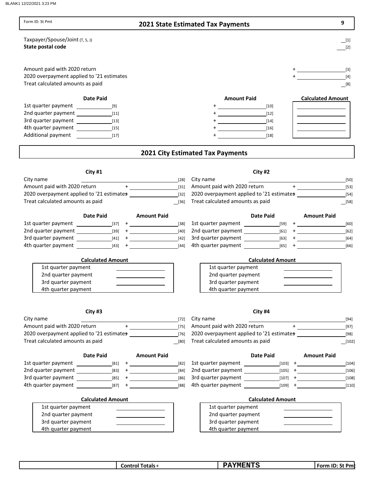BLANK1 12/22/2021 3:23 PM

| Form ID: St Pmt                                                                                                                                                                                                          |                                                                                                                                                                                                                                                                                                                                                                                                      | <b>2021 State Estimated Tax Payments</b>                                  | 9                                                                                                                                                                                                                                                                                                                                                |
|--------------------------------------------------------------------------------------------------------------------------------------------------------------------------------------------------------------------------|------------------------------------------------------------------------------------------------------------------------------------------------------------------------------------------------------------------------------------------------------------------------------------------------------------------------------------------------------------------------------------------------------|---------------------------------------------------------------------------|--------------------------------------------------------------------------------------------------------------------------------------------------------------------------------------------------------------------------------------------------------------------------------------------------------------------------------------------------|
| Taxpayer/Spouse/Joint (T, S, J)<br>State postal code                                                                                                                                                                     |                                                                                                                                                                                                                                                                                                                                                                                                      |                                                                           | $[1]$<br>$[2]$                                                                                                                                                                                                                                                                                                                                   |
| Amount paid with 2020 return<br>2020 overpayment applied to '21 estimates<br>Treat calculated amounts as paid                                                                                                            |                                                                                                                                                                                                                                                                                                                                                                                                      |                                                                           | $[3]$<br>$[4]$<br>$\boxed{[8]}$                                                                                                                                                                                                                                                                                                                  |
| <b>Date Paid</b>                                                                                                                                                                                                         |                                                                                                                                                                                                                                                                                                                                                                                                      | <b>Amount Paid</b>                                                        | <b>Calculated Amount</b>                                                                                                                                                                                                                                                                                                                         |
| 1st quarter payment                                                                                                                                                                                                      |                                                                                                                                                                                                                                                                                                                                                                                                      | $[10]$                                                                    |                                                                                                                                                                                                                                                                                                                                                  |
|                                                                                                                                                                                                                          |                                                                                                                                                                                                                                                                                                                                                                                                      | $[12]$                                                                    |                                                                                                                                                                                                                                                                                                                                                  |
| 3rd quarter payment [13]                                                                                                                                                                                                 |                                                                                                                                                                                                                                                                                                                                                                                                      | $[14]$                                                                    | the control of the control of the control of                                                                                                                                                                                                                                                                                                     |
| Additional payment<br>$[17]$                                                                                                                                                                                             |                                                                                                                                                                                                                                                                                                                                                                                                      | $[16]$<br>$[18]$                                                          | the contract of the contract of the contract of                                                                                                                                                                                                                                                                                                  |
|                                                                                                                                                                                                                          |                                                                                                                                                                                                                                                                                                                                                                                                      | <b>2021 City Estimated Tax Payments</b>                                   |                                                                                                                                                                                                                                                                                                                                                  |
|                                                                                                                                                                                                                          |                                                                                                                                                                                                                                                                                                                                                                                                      |                                                                           |                                                                                                                                                                                                                                                                                                                                                  |
| City #1                                                                                                                                                                                                                  |                                                                                                                                                                                                                                                                                                                                                                                                      | City #2                                                                   |                                                                                                                                                                                                                                                                                                                                                  |
| City name                                                                                                                                                                                                                | [28]                                                                                                                                                                                                                                                                                                                                                                                                 | City name                                                                 | [50]                                                                                                                                                                                                                                                                                                                                             |
| Amount paid with 2020 return +                                                                                                                                                                                           | $[31]$<br>$[32]$                                                                                                                                                                                                                                                                                                                                                                                     | Amount paid with 2020 return<br>2020 overpayment applied to '21 estimates | $[53]$                                                                                                                                                                                                                                                                                                                                           |
| Treat calculated amounts as paid                                                                                                                                                                                         | $[36]$                                                                                                                                                                                                                                                                                                                                                                                               | Treat calculated amounts as paid                                          | $[54]$<br>$[58]$                                                                                                                                                                                                                                                                                                                                 |
|                                                                                                                                                                                                                          |                                                                                                                                                                                                                                                                                                                                                                                                      |                                                                           |                                                                                                                                                                                                                                                                                                                                                  |
| <b>Date Paid</b>                                                                                                                                                                                                         | <b>Amount Paid</b>                                                                                                                                                                                                                                                                                                                                                                                   | <b>Date Paid</b>                                                          | <b>Amount Paid</b>                                                                                                                                                                                                                                                                                                                               |
| 1st quarter payment<br>$\begin{array}{c c} \hline \end{array}$ $\begin{array}{c c} \hline \end{array}$ $\begin{array}{c} \hline \end{array}$ $\begin{array}{c} \hline \end{array}$ $\begin{array}{c} \hline \end{array}$ | $[38]$                                                                                                                                                                                                                                                                                                                                                                                               |                                                                           | [60]                                                                                                                                                                                                                                                                                                                                             |
|                                                                                                                                                                                                                          | $[40]$                                                                                                                                                                                                                                                                                                                                                                                               |                                                                           | $[62]$                                                                                                                                                                                                                                                                                                                                           |
|                                                                                                                                                                                                                          | $[42]$<br>[44]                                                                                                                                                                                                                                                                                                                                                                                       |                                                                           | $[64]$<br>$[66]$                                                                                                                                                                                                                                                                                                                                 |
|                                                                                                                                                                                                                          |                                                                                                                                                                                                                                                                                                                                                                                                      |                                                                           |                                                                                                                                                                                                                                                                                                                                                  |
| <b>Calculated Amount</b>                                                                                                                                                                                                 |                                                                                                                                                                                                                                                                                                                                                                                                      | <b>Calculated Amount</b>                                                  |                                                                                                                                                                                                                                                                                                                                                  |
| 1st quarter payment                                                                                                                                                                                                      |                                                                                                                                                                                                                                                                                                                                                                                                      | 1st quarter payment                                                       |                                                                                                                                                                                                                                                                                                                                                  |
| 2nd quarter payment                                                                                                                                                                                                      |                                                                                                                                                                                                                                                                                                                                                                                                      | 2nd quarter payment                                                       |                                                                                                                                                                                                                                                                                                                                                  |
| 3rd quarter payment                                                                                                                                                                                                      |                                                                                                                                                                                                                                                                                                                                                                                                      | 3rd quarter payment                                                       |                                                                                                                                                                                                                                                                                                                                                  |
| 4th quarter payment                                                                                                                                                                                                      |                                                                                                                                                                                                                                                                                                                                                                                                      | 4th quarter payment                                                       |                                                                                                                                                                                                                                                                                                                                                  |
| City #3                                                                                                                                                                                                                  |                                                                                                                                                                                                                                                                                                                                                                                                      | City #4                                                                   |                                                                                                                                                                                                                                                                                                                                                  |
|                                                                                                                                                                                                                          |                                                                                                                                                                                                                                                                                                                                                                                                      |                                                                           |                                                                                                                                                                                                                                                                                                                                                  |
| City name                                                                                                                                                                                                                | $[72]$                                                                                                                                                                                                                                                                                                                                                                                               | City name                                                                 |                                                                                                                                                                                                                                                                                                                                                  |
| Amount paid with 2020 return                                                                                                                                                                                             | $[75]$                                                                                                                                                                                                                                                                                                                                                                                               | Amount paid with 2020 return                                              |                                                                                                                                                                                                                                                                                                                                                  |
| 2020 overpayment applied to '21 estimates                                                                                                                                                                                | $\begin{picture}(20,20)(-0,0) \put(0,0){\dashbox{0.5}(20,0){ }} \put(15,0){\circle{10}} \put(15,0){\circle{10}} \put(15,0){\circle{10}} \put(15,0){\circle{10}} \put(15,0){\circle{10}} \put(15,0){\circle{10}} \put(15,0){\circle{10}} \put(15,0){\circle{10}} \put(15,0){\circle{10}} \put(15,0){\circle{10}} \put(15,0){\circle{10}} \put(15,0){\circle{10}} \put(15,0){\circle{10}} \$<br>$[76]$ | 2020 overpayment applied to '21 estimates                                 | $\begin{picture}(20,20)(-0,0) \put(0,0){\line(1,0){10}} \put(15,0){\line(1,0){10}} \put(15,0){\line(1,0){10}} \put(15,0){\line(1,0){10}} \put(15,0){\line(1,0){10}} \put(15,0){\line(1,0){10}} \put(15,0){\line(1,0){10}} \put(15,0){\line(1,0){10}} \put(15,0){\line(1,0){10}} \put(15,0){\line(1,0){10}} \put(15,0){\line(1,0){10}} \put(15,0$ |
| Treat calculated amounts as paid                                                                                                                                                                                         | [80]                                                                                                                                                                                                                                                                                                                                                                                                 | Treat calculated amounts as paid                                          |                                                                                                                                                                                                                                                                                                                                                  |
| <b>Date Paid</b>                                                                                                                                                                                                         | <b>Amount Paid</b>                                                                                                                                                                                                                                                                                                                                                                                   | <b>Date Paid</b>                                                          | <b>Amount Paid</b>                                                                                                                                                                                                                                                                                                                               |
|                                                                                                                                                                                                                          | [82]                                                                                                                                                                                                                                                                                                                                                                                                 | 1st quarter payment [103] +                                               |                                                                                                                                                                                                                                                                                                                                                  |
|                                                                                                                                                                                                                          | $[84]$                                                                                                                                                                                                                                                                                                                                                                                               |                                                                           |                                                                                                                                                                                                                                                                                                                                                  |
| 3rd quarter payment $\frac{1}{\sqrt{1-\frac{1}{2}}}\left[\frac{85}{1+\frac{1}{2}}\right]$                                                                                                                                | $[86]$                                                                                                                                                                                                                                                                                                                                                                                               |                                                                           |                                                                                                                                                                                                                                                                                                                                                  |
| 4th quarter payment [87] +                                                                                                                                                                                               | [88]                                                                                                                                                                                                                                                                                                                                                                                                 | 4th quarter payment [109] +                                               |                                                                                                                                                                                                                                                                                                                                                  |
| <b>Calculated Amount</b>                                                                                                                                                                                                 |                                                                                                                                                                                                                                                                                                                                                                                                      | <b>Calculated Amount</b>                                                  | [94]<br>$[97]$<br>$[98]$<br>$[102]$<br>[104]<br>$[106]$<br>[108]<br>$[110]$                                                                                                                                                                                                                                                                      |
| 1st quarter payment                                                                                                                                                                                                      |                                                                                                                                                                                                                                                                                                                                                                                                      | 1st quarter payment                                                       |                                                                                                                                                                                                                                                                                                                                                  |
| 2nd quarter payment<br>3rd quarter payment                                                                                                                                                                               |                                                                                                                                                                                                                                                                                                                                                                                                      | 2nd quarter payment<br>3rd quarter payment                                | the control of the control of the control of                                                                                                                                                                                                                                                                                                     |

| ⊺otals +<br>⊂ontrol | <b>PAYMENTS</b> | . IF<br>ີ + Pm<br><b>Form</b><br>טו |
|---------------------|-----------------|-------------------------------------|
|                     |                 |                                     |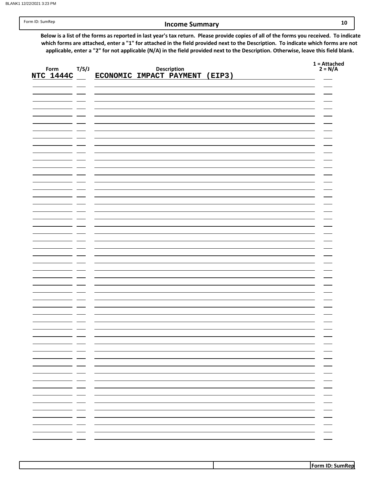#### Income Summary 10

Below is a list of the forms as reported in last year's tax return. Please provide copies of all of the forms you received. To indicate which forms are attached, enter a "1" for attached in the field provided next to the Description. To indicate which forms are not applicable, enter a "2" for not applicable (N/A) in the field provided next to the Description. Otherwise, leave this field blank.

|                  |                  |                                |             |  | $1 =$ Attached<br>2 = N/A |
|------------------|------------------|--------------------------------|-------------|--|---------------------------|
| Form             | T/S/J            |                                | Description |  |                           |
| <b>NTC 1444C</b> |                  | ECONOMIC IMPACT PAYMENT (EIP3) |             |  |                           |
|                  |                  |                                |             |  |                           |
|                  |                  |                                |             |  |                           |
|                  |                  |                                |             |  |                           |
|                  |                  |                                |             |  |                           |
|                  |                  |                                |             |  |                           |
|                  |                  |                                |             |  |                           |
|                  |                  |                                |             |  |                           |
|                  |                  |                                |             |  |                           |
|                  |                  |                                |             |  |                           |
|                  |                  |                                |             |  |                           |
|                  |                  |                                |             |  |                           |
|                  |                  |                                |             |  |                           |
|                  |                  |                                |             |  |                           |
|                  |                  |                                |             |  |                           |
|                  |                  |                                |             |  |                           |
|                  |                  |                                |             |  |                           |
|                  |                  |                                |             |  |                           |
|                  |                  |                                |             |  |                           |
|                  |                  |                                |             |  |                           |
|                  |                  |                                |             |  |                           |
|                  |                  |                                |             |  |                           |
|                  |                  |                                |             |  |                           |
|                  |                  |                                |             |  |                           |
|                  |                  |                                |             |  |                           |
|                  |                  |                                |             |  |                           |
|                  |                  |                                |             |  |                           |
|                  |                  |                                |             |  |                           |
|                  |                  |                                |             |  |                           |
|                  |                  |                                |             |  |                           |
|                  |                  |                                |             |  |                           |
|                  |                  |                                |             |  |                           |
|                  |                  |                                |             |  |                           |
|                  |                  |                                |             |  |                           |
|                  |                  |                                |             |  |                           |
|                  |                  |                                |             |  |                           |
|                  |                  |                                |             |  |                           |
|                  | - -<br>Ξ.        |                                |             |  |                           |
|                  | - -              |                                |             |  |                           |
|                  | - <del>- -</del> |                                |             |  |                           |
|                  | — <del>—</del>   |                                |             |  |                           |
|                  | — <del>— —</del> |                                |             |  |                           |
|                  | — <del>— —</del> |                                |             |  |                           |
|                  | - -              |                                |             |  |                           |
|                  | - -              |                                |             |  |                           |
|                  | - -              |                                |             |  |                           |
|                  |                  |                                |             |  |                           |
|                  | - -              |                                |             |  |                           |
|                  | . .              |                                |             |  |                           |
|                  | $\sim$           |                                |             |  |                           |
|                  |                  |                                |             |  |                           |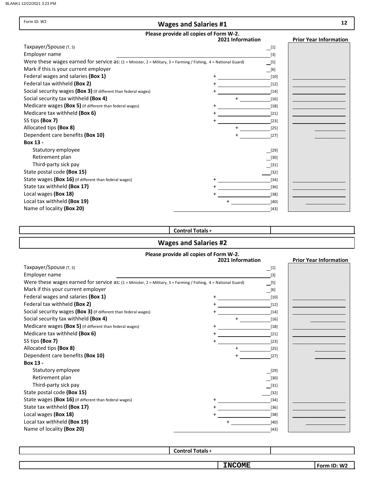| Form ID: W2                                                                                                     | <b>Wages and Salaries #1</b>                               |                     | 12                            |
|-----------------------------------------------------------------------------------------------------------------|------------------------------------------------------------|---------------------|-------------------------------|
|                                                                                                                 | Please provide all copies of Form W-2.<br>2021 Information |                     | <b>Prior Year Information</b> |
| Taxpayer/Spouse (T, S)                                                                                          |                                                            | $\lfloor 1 \rfloor$ |                               |
| Employer name                                                                                                   |                                                            | $[3]$               |                               |
| Were these wages earned for service as: (1 = Minister, 2 = Military, 3 = Farming / Fishing, 4 = National Guard) |                                                            | [5]                 |                               |
| Mark if this is your current employer                                                                           |                                                            | [6]                 |                               |
| Federal wages and salaries (Box 1)                                                                              |                                                            | $[10]$              |                               |
| Federal tax withheld (Box 2)                                                                                    |                                                            | $[12]$              |                               |
| Social security wages (Box 3) (If different than federal wages)                                                 |                                                            | $[14]$              |                               |
| Social security tax withheld (Box 4)                                                                            |                                                            | $[16]$              |                               |
| Medicare wages (Box 5) (If different than federal wages)                                                        |                                                            | $[18]$              |                               |
| Medicare tax withheld (Box 6)                                                                                   |                                                            | $[21]$              |                               |
| SS tips (Box 7)                                                                                                 |                                                            | $[23]$              |                               |
| Allocated tips (Box 8)                                                                                          |                                                            | $[25]$              |                               |
| Dependent care benefits (Box 10)                                                                                |                                                            | $[27]$              |                               |
| Box 13 -                                                                                                        |                                                            |                     |                               |
| Statutory employee                                                                                              |                                                            | $[29]$              |                               |
| Retirement plan                                                                                                 |                                                            | [30]                |                               |
| Third-party sick pay                                                                                            |                                                            | $[31]$              |                               |
| State postal code (Box 15)                                                                                      |                                                            | $[32]$              |                               |
| State wages (Box 16) (If different than federal wages)                                                          |                                                            | $[34]$              |                               |
| State tax withheld (Box 17)                                                                                     |                                                            | $[36]$              |                               |
| Local wages (Box 18)                                                                                            |                                                            | $[38]$              |                               |
| Local tax withheld (Box 19)                                                                                     |                                                            | $[40]$              |                               |
| Name of locality (Box 20)                                                                                       |                                                            | $[43]$              |                               |

### Control Totals+

# Wages and Salaries #2

#### Please provide all copies of Form W-2.

|                                                                                                                 | case provide an eopics or r<br>2021 Information | <b>Prior Year Information</b> |
|-----------------------------------------------------------------------------------------------------------------|-------------------------------------------------|-------------------------------|
| Taxpayer/Spouse (T, S)                                                                                          | $\Box$ [1]                                      |                               |
| Employer name                                                                                                   | $[3]$                                           |                               |
| Were these wages earned for service as: (1 = Minister, 2 = Military, 3 = Farming / Fishing, 4 = National Guard) | [5]                                             |                               |
| Mark if this your current employer                                                                              | $\boxed{6}$                                     |                               |
| Federal wages and salaries (Box 1)                                                                              | $[10]$                                          |                               |
| Federal tax withheld (Box 2)                                                                                    | $[12]$                                          |                               |
| Social security wages (Box 3) (If different than federal wages)                                                 | $[14]$                                          |                               |
| Social security tax withheld (Box 4)                                                                            | $\ddot{}$<br>$[16]$                             |                               |
| Medicare wages (Box 5) (If different than federal wages)                                                        | $[18]$                                          |                               |
| Medicare tax withheld (Box 6)                                                                                   | $[21]$                                          |                               |
| SS tips (Box 7)                                                                                                 | $[23]$                                          |                               |
| Allocated tips (Box 8)                                                                                          | $\ddot{}$<br>$[25]$                             |                               |
| Dependent care benefits (Box 10)                                                                                | $[27]$                                          |                               |
| Box 13 -                                                                                                        |                                                 |                               |
| Statutory employee                                                                                              | [29]                                            |                               |
| Retirement plan                                                                                                 | $[30]$                                          |                               |
| Third-party sick pay                                                                                            | $[31]$                                          |                               |
| State postal code (Box 15)                                                                                      | $[32]$                                          |                               |
| State wages (Box 16) (If different than federal wages)                                                          | $[34]$                                          |                               |
| State tax withheld (Box 17)                                                                                     | $[36]$                                          |                               |
| Local wages (Box 18)                                                                                            | $[38]$                                          |                               |
| Local tax withheld (Box 19)                                                                                     | [40]                                            |                               |
| Name of locality (Box 20)                                                                                       | $[43]$                                          |                               |

Control Totals+

**INCOME**

Form ID: W2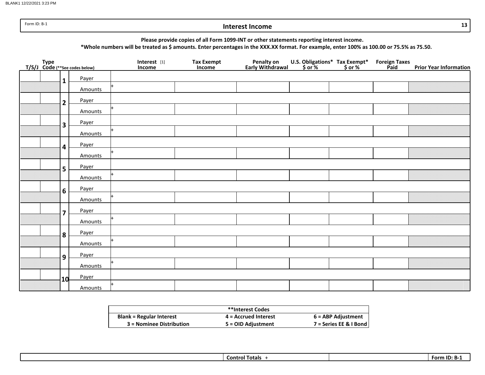Form ID: B-1

#### Interest Income

Please provide copies of all Form 1099-INT or other statements reporting interest income.

\*Whole numbers will be treated as \$ amounts. Enter percentages in the XXX.XX format. For example, enter 100% as 100.00 or 75.5% as 75.50.

|  |                         | Type<br>T/S/J Code (**See codes below) | Interest $[1]$<br>Income | Tax Exempt<br>Income | Penalty on<br>Early Withdrawal | U.S. Obligations* Tax Exempt*<br>\$ or % \$ or % | Foreign Taxes<br>Paid | <b>Prior Year Information</b> |
|--|-------------------------|----------------------------------------|--------------------------|----------------------|--------------------------------|--------------------------------------------------|-----------------------|-------------------------------|
|  | $\mathbf{1}$            | Payer                                  |                          |                      |                                |                                                  |                       |                               |
|  |                         | Amounts                                |                          |                      |                                |                                                  |                       |                               |
|  | $\overline{2}$          | Payer                                  |                          |                      |                                |                                                  |                       |                               |
|  |                         | Amounts                                |                          |                      |                                |                                                  |                       |                               |
|  | 3                       | Payer                                  |                          |                      |                                |                                                  |                       |                               |
|  |                         | Amounts                                |                          |                      |                                |                                                  |                       |                               |
|  | 4                       | Payer                                  |                          |                      |                                |                                                  |                       |                               |
|  |                         | Amounts                                |                          |                      |                                |                                                  |                       |                               |
|  | 5                       | Payer                                  |                          |                      |                                |                                                  |                       |                               |
|  |                         | Amounts                                |                          |                      |                                |                                                  |                       |                               |
|  | 6                       | Payer                                  |                          |                      |                                |                                                  |                       |                               |
|  |                         | Amounts                                |                          |                      |                                |                                                  |                       |                               |
|  | $\overline{\mathbf{z}}$ | Payer                                  |                          |                      |                                |                                                  |                       |                               |
|  |                         | Amounts                                |                          |                      |                                |                                                  |                       |                               |
|  | 8                       | Payer                                  |                          |                      |                                |                                                  |                       |                               |
|  |                         | Amounts                                |                          |                      |                                |                                                  |                       |                               |
|  | $\mathbf{9}$            | Payer                                  |                          |                      |                                |                                                  |                       |                               |
|  |                         | Amounts                                |                          |                      |                                |                                                  |                       |                               |
|  | 10                      | Payer                                  |                          |                      |                                |                                                  |                       |                               |
|  |                         | Amounts                                |                          |                      |                                |                                                  |                       |                               |

|                                 | **Interest Codes       |                        |
|---------------------------------|------------------------|------------------------|
| <b>Blank = Regular Interest</b> | $4$ = Accrued Interest | 6 = ABP Adjustment     |
| 3 = Nominee Distribution        | 5 = OID Adjustment     | 7 = Series EE & I Bond |

| Totals<br>Lontrol<br>----- | --<br>Form |
|----------------------------|------------|
|                            |            |

13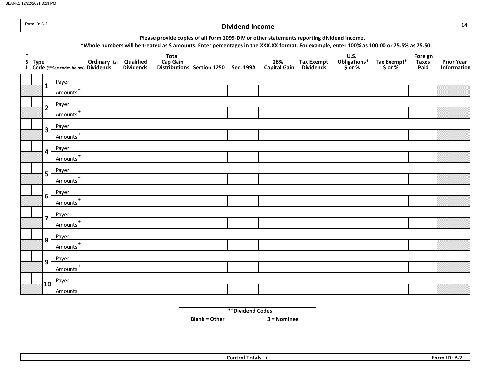BLANK1 12/22/2021 3:23 PM

|              | Form ID: B-2 |                                  |                                                      |                               |                                                                                           |                                      | <b>Dividend Income</b> |                            |                                       |                                                                                                                                            |                           |                                 | 14                                      |
|--------------|--------------|----------------------------------|------------------------------------------------------|-------------------------------|-------------------------------------------------------------------------------------------|--------------------------------------|------------------------|----------------------------|---------------------------------------|--------------------------------------------------------------------------------------------------------------------------------------------|---------------------------|---------------------------------|-----------------------------------------|
|              |              |                                  |                                                      |                               | Please provide copies of all Form 1099-DIV or other statements reporting dividend income. |                                      |                        |                            |                                       | *Whole numbers will be treated as \$ amounts. Enter percentages in the XXX.XX format. For example, enter 100% as 100.00 or 75.5% as 75.50. |                           |                                 |                                         |
| $\mathbf{T}$ | S Type       |                                  | Ordinary [2]<br>J Code (**See codes below) Dividends | Qualified<br><b>Dividends</b> | <b>Total</b><br><b>Cap Gain</b>                                                           | Distributions Section 1250 Sec. 199A |                        | 28%<br><b>Capital Gain</b> | <b>Tax Exempt</b><br><b>Dividends</b> | <b>U.S.</b><br>Obligations*<br>\$or %                                                                                                      | Tax Exempt*<br>$$$ or $%$ | Foreign<br><b>Taxes</b><br>Paid | <b>Prior Year</b><br><b>Information</b> |
|              |              | Payer<br>$\mathbf{1}$            |                                                      |                               |                                                                                           |                                      |                        |                            |                                       |                                                                                                                                            |                           |                                 |                                         |
|              |              | Amounts                          |                                                      |                               |                                                                                           |                                      |                        |                            |                                       |                                                                                                                                            |                           |                                 |                                         |
|              |              | Payer<br>$\overline{2}$          |                                                      |                               |                                                                                           |                                      |                        |                            |                                       |                                                                                                                                            |                           |                                 |                                         |
|              |              | Amounts                          |                                                      |                               |                                                                                           |                                      |                        |                            |                                       |                                                                                                                                            |                           |                                 |                                         |
|              |              | Payer<br>3                       |                                                      |                               |                                                                                           |                                      |                        |                            |                                       |                                                                                                                                            |                           |                                 |                                         |
|              |              | Amounts                          |                                                      |                               |                                                                                           |                                      |                        |                            |                                       |                                                                                                                                            |                           |                                 |                                         |
|              |              | Payer<br>4                       |                                                      |                               |                                                                                           |                                      |                        |                            |                                       |                                                                                                                                            |                           |                                 |                                         |
|              |              | Amounts                          |                                                      |                               |                                                                                           |                                      |                        |                            |                                       |                                                                                                                                            |                           |                                 |                                         |
|              |              | Payer<br>5                       |                                                      |                               |                                                                                           |                                      |                        |                            |                                       |                                                                                                                                            |                           |                                 |                                         |
|              |              | Amounts                          |                                                      |                               |                                                                                           |                                      |                        |                            |                                       |                                                                                                                                            |                           |                                 |                                         |
|              |              | Payer<br>6                       |                                                      |                               |                                                                                           |                                      |                        |                            |                                       |                                                                                                                                            |                           |                                 |                                         |
|              |              | Amounts                          |                                                      |                               |                                                                                           |                                      |                        |                            |                                       |                                                                                                                                            |                           |                                 |                                         |
|              |              | Payer<br>$\overline{\mathbf{z}}$ |                                                      |                               |                                                                                           |                                      |                        |                            |                                       |                                                                                                                                            |                           |                                 |                                         |
|              |              | Amounts                          |                                                      |                               |                                                                                           |                                      |                        |                            |                                       |                                                                                                                                            |                           |                                 |                                         |
|              |              | Payer<br>8                       |                                                      |                               |                                                                                           |                                      |                        |                            |                                       |                                                                                                                                            |                           |                                 |                                         |
|              |              | Amounts                          |                                                      |                               |                                                                                           |                                      |                        |                            |                                       |                                                                                                                                            |                           |                                 |                                         |
|              |              | Payer<br>9                       |                                                      |                               |                                                                                           |                                      |                        |                            |                                       |                                                                                                                                            |                           |                                 |                                         |
|              |              | Amounts                          |                                                      |                               |                                                                                           |                                      |                        |                            |                                       |                                                                                                                                            |                           |                                 |                                         |
|              |              | Payer<br>10                      |                                                      |                               |                                                                                           |                                      |                        |                            |                                       |                                                                                                                                            |                           |                                 |                                         |
|              |              | Amounts                          |                                                      |                               |                                                                                           |                                      |                        |                            |                                       |                                                                                                                                            |                           |                                 |                                         |

|                      | **Dividend Codes |
|----------------------|------------------|
| <b>Blank = Other</b> | $3 =$ Nominee    |

<u>Control Totals +</u> Form ID: B-2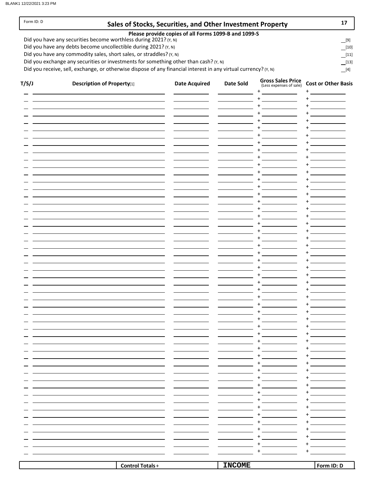Form ID: D

| Sales of Stocks, Securities, and Other Investment Property |  |  |  |  |  |  |  |  |
|------------------------------------------------------------|--|--|--|--|--|--|--|--|
|------------------------------------------------------------|--|--|--|--|--|--|--|--|

#### Please provide copies of all Forms 1099-B and 1099-S

Did you have any securities become worthless during 2021? (Y, N)

Did you have any debts become uncollectible during 2021? (Y, N)

Did you have any commodity sales, short sales, or straddles? (Y, N)

Did you exchange any securities or investments for something other than cash? (Y, N)

Did you receive, sell, exchange, or otherwise dispose of any financial interest in any virtual currency? ( $Y$ , N)  $[4]$ 

| T/S/J | <b>Description of Property[1]</b> | <b>Date Acquired</b> | <b>Date Sold</b> | <b>Gross Sales Price</b><br>(Less expenses of sale) | <b>Cost or Other Basis</b> |
|-------|-----------------------------------|----------------------|------------------|-----------------------------------------------------|----------------------------|
|       |                                   |                      |                  | $+$<br>$\ddot{}$                                    | $^{+}$<br>$+$              |
|       |                                   |                      |                  | $\ddot{}$                                           | $\ddot{}$                  |
|       |                                   |                      |                  | $\ddot{}$                                           | $\ddot{}$                  |
|       |                                   |                      |                  | $\ddot{}$                                           | $\ddot{}$                  |
|       |                                   |                      |                  | $\ddot{}$                                           | $\ddot{}$                  |
|       |                                   |                      |                  | $\ddot{}$                                           | $\ddot{}$                  |
|       |                                   |                      |                  | $\ddot{}$                                           | $\ddot{}$                  |
|       |                                   |                      |                  | $\ddot{}$                                           | $\overline{+}$             |
|       |                                   |                      |                  | $\ddot{}$<br>$\ddot{}$                              | $\ddot{}$<br>$\ddot{}$     |
|       |                                   |                      |                  | $\ddot{}$                                           | $\ddot{}$                  |
|       |                                   |                      |                  | $+$                                                 | $+$                        |
|       |                                   |                      |                  | $\ddot{}$                                           | $\ddot{}$                  |
|       |                                   |                      |                  | $+$                                                 | $\ddot{}$                  |
|       |                                   |                      |                  | $\ddot{}$                                           | $\ddot{}$                  |
|       |                                   |                      |                  | $+$                                                 | $\ddot{}$                  |
|       |                                   |                      |                  | $\ddot{}$                                           | $\ddot{}$                  |
|       |                                   |                      |                  | $+$                                                 | $\ddot{}$                  |
|       |                                   |                      |                  | $\ddot{}$<br>$+$                                    | $\ddot{}$<br>$\ddot{}$     |
|       |                                   |                      |                  | $\ddot{}$                                           | $\overline{+}$             |
|       |                                   |                      |                  | $\ddot{}$                                           | $\ddot{}$                  |
|       |                                   |                      |                  | $\ddot{}$                                           | $\ddot{}$                  |
|       |                                   |                      |                  | $\ddot{}$                                           | $\ddot{}$                  |
|       |                                   |                      |                  | $\ddot{}$                                           | $\ddot{}$                  |
|       |                                   |                      |                  | $\ddot{}$                                           | $\ddot{}$                  |
|       |                                   |                      |                  | $\ddot{}$                                           | $\ddot{}$                  |
|       |                                   |                      |                  | $\ddot{}$                                           | $\ddot{}$                  |
|       |                                   |                      |                  | $+$<br>$\ddot{}$                                    | $\ddot{}$<br>$\ddot{}$     |
|       |                                   |                      |                  | $\ddot{}$                                           | $\ddot{}$                  |
|       |                                   |                      |                  | $\ddot{}$                                           | $+$                        |
|       |                                   |                      |                  | $\ddot{}$                                           | $+$                        |
|       |                                   |                      |                  | $\ddot{}$                                           | $^{+}$                     |
|       |                                   |                      |                  | $^+$                                                | $+$                        |
|       |                                   |                      |                  | +                                                   | +                          |
|       |                                   |                      |                  |                                                     |                            |
|       |                                   |                      |                  |                                                     |                            |
|       |                                   |                      |                  |                                                     |                            |
|       |                                   |                      |                  |                                                     |                            |
|       |                                   |                      |                  |                                                     |                            |
|       |                                   |                      |                  |                                                     |                            |
|       |                                   |                      |                  |                                                     |                            |
|       |                                   |                      |                  |                                                     |                            |
|       |                                   |                      |                  |                                                     |                            |
|       |                                   |                      |                  |                                                     |                            |
|       |                                   |                      |                  |                                                     |                            |
|       |                                   |                      |                  |                                                     |                            |
|       | <b>Control Totals+</b>            |                      | <b>INCOME</b>    |                                                     | Form ID: D                 |

[9]  $[10]$ 

 $[13]$ [11]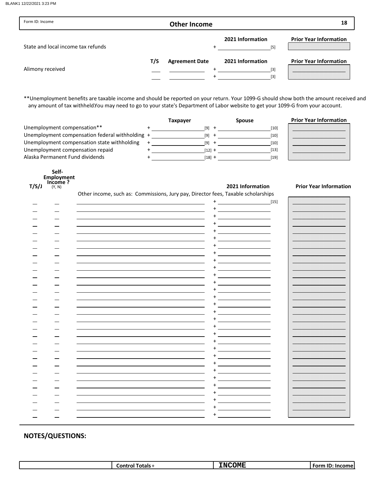| Form ID: Income                    |     | <b>Other Income</b>   |                                | 18                            |
|------------------------------------|-----|-----------------------|--------------------------------|-------------------------------|
| State and local income tax refunds |     |                       | 2021 Information<br>[5]        | <b>Prior Year Information</b> |
| Alimony received                   | T/S | <b>Agreement Date</b> | 2021 Information<br>[3]<br>[3] | <b>Prior Year Information</b> |

\*\*Unemployment benefits are taxable income and should be reported on your return. Your 1099-G should show both the amount received and any amount of tax withheld.You may need to go to your state's Department of Labor website to get your 1099-G from your account.

|                                                 | Taxpayer | <b>Spouse</b> | <b>Prior Year Information</b> |
|-------------------------------------------------|----------|---------------|-------------------------------|
| Unemployment compensation**                     | [9]      | [10]          |                               |
| Unemployment compensation federal withholding + | [9]      | [10]          |                               |
| Unemployment compensation state withholding     | [9]      | [10]          |                               |
| Unemployment compensation repaid                | [12] +   | [13]          |                               |
| Alaska Permanent Fund dividends                 | [18] +   | [19]          |                               |

|      | Self-                        |
|------|------------------------------|
|      | <b>Employment</b>            |
| /c/i | Income?<br>$\mathcal{U}$ and |

Income ?

2021 Information Prior Year Information

Other income, such as: Commissions, Jury pay, Director fees, Taxable scholarships

|  | . | $\ddot{}$ | $[15]$ |                   |
|--|---|-----------|--------|-------------------|
|  |   |           |        |                   |
|  |   | +         |        |                   |
|  |   |           |        |                   |
|  |   |           |        |                   |
|  |   |           |        |                   |
|  |   |           |        |                   |
|  |   | ٠         |        |                   |
|  |   |           |        |                   |
|  |   |           |        |                   |
|  |   | $\ddot{}$ |        |                   |
|  |   |           |        |                   |
|  |   |           |        |                   |
|  |   |           |        |                   |
|  |   |           |        |                   |
|  |   |           |        |                   |
|  |   |           |        |                   |
|  |   |           |        |                   |
|  |   |           |        |                   |
|  |   |           |        |                   |
|  |   | +         |        |                   |
|  |   |           |        |                   |
|  |   |           |        |                   |
|  |   |           |        | ----------------- |
|  |   |           |        |                   |
|  |   |           |        |                   |
|  |   |           |        |                   |
|  |   |           |        |                   |
|  |   |           |        |                   |
|  |   |           |        |                   |
|  |   | +         |        | _________________ |
|  |   |           |        |                   |
|  |   |           |        |                   |
|  |   |           |        |                   |
|  |   |           |        |                   |

|  |  | <b>fotals</b><br>∴ontr⁄<br>7011 | ---------<br><b>COME</b><br>'N | $\sim$<br>. Form<br>- Inc<br>ш<br>. |
|--|--|---------------------------------|--------------------------------|-------------------------------------|
|--|--|---------------------------------|--------------------------------|-------------------------------------|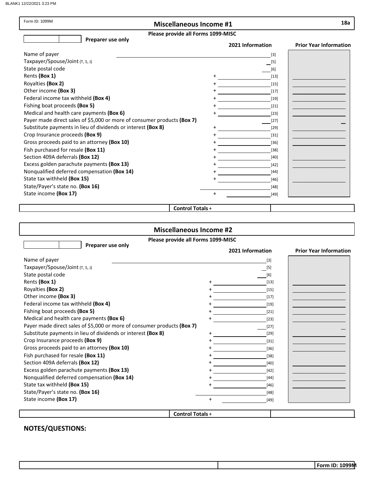BLANK1 12/22/2021 3:23 PM

| Form ID: 1099M                                                          | <b>Miscellaneous Income #1</b>     |                  | 18a                           |
|-------------------------------------------------------------------------|------------------------------------|------------------|-------------------------------|
|                                                                         | Please provide all Forms 1099-MISC |                  |                               |
| Preparer use only                                                       |                                    | 2021 Information | <b>Prior Year Information</b> |
| Name of payer                                                           |                                    | $[3]$            |                               |
| Taxpayer/Spouse/Joint (T, S, J)                                         |                                    | $[5]$            |                               |
| State postal code                                                       |                                    | [6]              |                               |
| Rents (Box 1)                                                           |                                    | $[13]$           |                               |
| Royalties (Box 2)                                                       |                                    | $[15]$           |                               |
| Other income (Box 3)                                                    |                                    | $[17]$           |                               |
| Federal income tax withheld (Box 4)                                     |                                    | $[19]$           |                               |
| Fishing boat proceeds (Box 5)                                           |                                    | $[21]$           |                               |
| Medical and health care payments (Box 6)                                |                                    | $[23]$           |                               |
| Payer made direct sales of \$5,000 or more of consumer products (Box 7) |                                    | $[27]$           |                               |
| Substitute payments in lieu of dividends or interest (Box 8)            |                                    | $[29]$           |                               |
| Crop Insurance proceeds (Box 9)                                         |                                    | $[31]$           |                               |
| Gross proceeds paid to an attorney (Box 10)                             |                                    | $[36]$           |                               |
| Fish purchased for resale (Box 11)                                      |                                    | $[38]$           |                               |
| Section 409A deferrals (Box 12)                                         |                                    | $[40]$           |                               |
| Excess golden parachute payments (Box 13)                               |                                    | $[42]$           |                               |
| Nonqualified deferred compensation (Box 14)                             |                                    | $[44]$           |                               |
| State tax withheld (Box 15)                                             |                                    | $[46]$           |                               |
| State/Payer's state no. (Box 16)                                        |                                    | $[48]$           |                               |
| State income (Box 17)                                                   | $\ddot{}$                          | $[49]$           |                               |
|                                                                         |                                    |                  |                               |
|                                                                         | <b>Control Totals +</b>            |                  |                               |

#### Control Totals +

| <b>Miscellaneous Income #2</b>                                          |                                    |                   |                               |  |
|-------------------------------------------------------------------------|------------------------------------|-------------------|-------------------------------|--|
| Preparer use only                                                       | Please provide all Forms 1099-MISC |                   |                               |  |
|                                                                         |                                    | 2021 Information  | <b>Prior Year Information</b> |  |
| Name of payer                                                           |                                    | $\lceil 3 \rceil$ |                               |  |
| Taxpayer/Spouse/Joint (T, S, J)                                         |                                    | $[5]$             |                               |  |
| State postal code                                                       |                                    | [6]               |                               |  |
| Rents (Box 1)                                                           |                                    | $[13]$            |                               |  |
| Royalties (Box 2)                                                       |                                    | $[15]$            |                               |  |
| Other income (Box 3)                                                    |                                    | $[17]$            |                               |  |
| Federal income tax withheld (Box 4)                                     |                                    | $[19]$            |                               |  |
| Fishing boat proceeds (Box 5)                                           |                                    | $[21]$            |                               |  |
| Medical and health care payments (Box 6)                                |                                    | $[23]$            |                               |  |
| Payer made direct sales of \$5,000 or more of consumer products (Box 7) |                                    | $[27]$            |                               |  |
| Substitute payments in lieu of dividends or interest (Box 8)            |                                    | $[29]$            |                               |  |
| Crop Insurance proceeds (Box 9)                                         |                                    | $[31]$            |                               |  |
| Gross proceeds paid to an attorney (Box 10)                             |                                    | [36]              |                               |  |
| Fish purchased for resale (Box 11)                                      |                                    | $[38]$            |                               |  |
| Section 409A deferrals (Box 12)                                         |                                    | [40]              |                               |  |
| Excess golden parachute payments (Box 13)                               |                                    | $[42]$            |                               |  |
| Nonqualified deferred compensation (Box 14)                             |                                    | $[44]$            |                               |  |
| State tax withheld (Box 15)                                             |                                    | $[46]$            |                               |  |
| State/Payer's state no. (Box 16)                                        |                                    | $[48]$            |                               |  |
| State income (Box 17)                                                   | $\ddot{}$                          | [49]              |                               |  |
|                                                                         |                                    |                   |                               |  |
|                                                                         | <b>Control Totals +</b>            |                   |                               |  |

NOTES/QUESTIONS:

Form ID: 1099M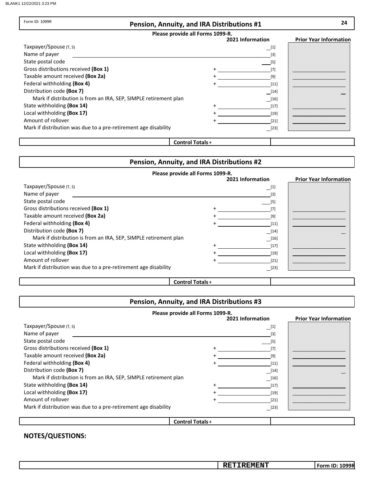Form ID: 1099R

#### Pension, Annuity, and IRA Distributions #1

#### Please provide all Forms 1099-R.

| Please provide all Forms 1099-R.                                 |                                                                                                                                                                                                                   |                               |
|------------------------------------------------------------------|-------------------------------------------------------------------------------------------------------------------------------------------------------------------------------------------------------------------|-------------------------------|
|                                                                  | 2021 Information                                                                                                                                                                                                  | <b>Prior Year Information</b> |
| Taxpayer/Spouse (T, S)                                           | [1]                                                                                                                                                                                                               |                               |
| Name of payer                                                    |                                                                                                                                                                                                                   |                               |
| State postal code                                                | [5]                                                                                                                                                                                                               |                               |
| Gross distributions received (Box 1)                             |                                                                                                                                                                                                                   |                               |
| Taxable amount received (Box 2a)                                 | [9]                                                                                                                                                                                                               |                               |
| Federal withholding (Box 4)                                      | [11]                                                                                                                                                                                                              |                               |
| Distribution code (Box 7)                                        | $[14]$                                                                                                                                                                                                            |                               |
| Mark if distribution is from an IRA, SEP, SIMPLE retirement plan | $[16] % \includegraphics[width=1\textwidth]{images/TrDiM-Architecture.png} % \caption{The first two different ways to be a function of the number of the first two different ways.} \label{TrDiM-Architecture} %$ |                               |
| State withholding (Box 14)                                       | $[17]$                                                                                                                                                                                                            |                               |
| Local withholding (Box 17)                                       | [19]                                                                                                                                                                                                              |                               |
| Amount of rollover                                               | [21]                                                                                                                                                                                                              |                               |
| Mark if distribution was due to a pre-retirement age disability  | [23]                                                                                                                                                                                                              |                               |
|                                                                  |                                                                                                                                                                                                                   |                               |

#### Control Totals+

#### Pension, Annuity, and IRA Distributions #2

### Please provide all Forms 1099-R.

|                                                                  | 2021 Information                                                                                                                                                                                                                | <b>Prior Year Information</b> |
|------------------------------------------------------------------|---------------------------------------------------------------------------------------------------------------------------------------------------------------------------------------------------------------------------------|-------------------------------|
| Taxpayer/Spouse (T, S)                                           | [1]                                                                                                                                                                                                                             |                               |
| Name of payer                                                    | [3]                                                                                                                                                                                                                             |                               |
| State postal code                                                | [5]                                                                                                                                                                                                                             |                               |
| Gross distributions received (Box 1)                             | [7]                                                                                                                                                                                                                             |                               |
| Taxable amount received (Box 2a)                                 | [9]                                                                                                                                                                                                                             |                               |
| Federal withholding (Box 4)                                      | $[11]$                                                                                                                                                                                                                          |                               |
| Distribution code (Box 7)                                        | $\boxed{14}$                                                                                                                                                                                                                    |                               |
| Mark if distribution is from an IRA, SEP, SIMPLE retirement plan | $[16] \centering% \includegraphics[width=1\textwidth]{images/TransY.pdf} \caption{The 3D (black) method is used for the estimators (black) method. The left hand side is the same as in the left hand side.} \label{fig:class}$ |                               |
| State withholding (Box 14)                                       | $[17]$                                                                                                                                                                                                                          |                               |
| Local withholding (Box 17)                                       | $[19]$                                                                                                                                                                                                                          |                               |
| Amount of rollover                                               | $[21]$                                                                                                                                                                                                                          |                               |
| Mark if distribution was due to a pre-retirement age disability  | [23]                                                                                                                                                                                                                            |                               |

#### Control Totals+

# Pension, Annuity, and IRA Distributions #3

| Please provide all Forms 1099-R.                                 |                        |                  |                               |  |
|------------------------------------------------------------------|------------------------|------------------|-------------------------------|--|
|                                                                  |                        | 2021 Information | <b>Prior Year Information</b> |  |
| Taxpayer/Spouse (T, S)                                           |                        | $\boxed{1}$      |                               |  |
| Name of payer                                                    |                        | $[3]$            |                               |  |
| State postal code                                                |                        | [5]              |                               |  |
| Gross distributions received (Box 1)                             |                        | $[7]$            |                               |  |
| Taxable amount received (Box 2a)                                 |                        | [9]              |                               |  |
| Federal withholding (Box 4)                                      |                        | [11]             |                               |  |
| Distribution code (Box 7)                                        |                        | $[14]$           |                               |  |
| Mark if distribution is from an IRA, SEP, SIMPLE retirement plan |                        | $[16]$           |                               |  |
| State withholding (Box 14)                                       |                        | $[17]$           |                               |  |
| Local withholding (Box 17)                                       |                        | $[19]$           |                               |  |
| Amount of rollover                                               |                        | $[21]$           |                               |  |
| Mark if distribution was due to a pre-retirement age disability  |                        | $[23]$           |                               |  |
|                                                                  |                        |                  |                               |  |
|                                                                  | <b>Control Totals+</b> |                  |                               |  |

| -------<br>. .<br>* IN<br>---<br>. | <b>OOF</b><br>-orr<br>, J F |
|------------------------------------|-----------------------------|
|                                    |                             |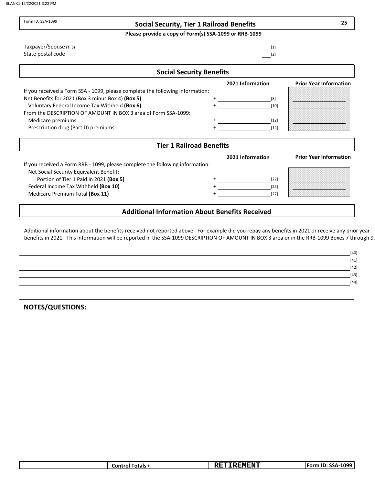| Form ID: SSA-1099<br><b>Social Security, Tier 1 Railroad Benefits</b>         |                   | 25                            |
|-------------------------------------------------------------------------------|-------------------|-------------------------------|
| Please provide a copy of Form(s) SSA-1099 or RRB-1099                         |                   |                               |
| Taxpayer/Spouse (T, S)                                                        | $[1]$             |                               |
| State postal code                                                             | $\lceil 2 \rceil$ |                               |
| <b>Social Security Benefits</b>                                               |                   |                               |
|                                                                               | 2021 Information  | <b>Prior Year Information</b> |
| If you received a Form SSA - 1099, please complete the following information: |                   |                               |
| Net Benefits for 2021 (Box 3 minus Box 4) (Box 5)                             | [8]               |                               |
| Voluntary Federal Income Tax Withheld (Box 6)                                 | [10]              |                               |
| From the DESCRIPTION OF AMOUNT IN BOX 3 area of Form SSA-1099:                |                   |                               |
| Medicare premiums                                                             | $[12]$            |                               |
| Prescription drug (Part D) premiums                                           | [14]              |                               |
| <b>Tier 1 Railroad Benefits</b>                                               |                   |                               |
|                                                                               | 2021 Information  | <b>Prior Year Information</b> |
| If you received a Form RRB - 1099, please complete the following information: |                   |                               |
| Net Social Security Equivalent Benefit:                                       |                   |                               |
| Portion of Tier 1 Paid in 2021 (Box 5)                                        | $[22]$            |                               |
|                                                                               | $[25]$            |                               |
| Federal Income Tax Withheld (Box 10)                                          | [27]              |                               |

Additional information about the benefits received not reported above. For example did you repay any benefits in 2021 or receive any prior year benefits in 2021. This information will be reported in the SSA-1099 DESCRIPTION OF AMOUNT IN BOX 3 area or in the RRB-1099 Boxes 7 through 9.

| $[40]$ |
|--------|
| $[41]$ |
| $[42]$ |
| $[43]$ |
| $[44]$ |
|        |

| 1099-<br>---<br><b>REMENT</b><br>11. J. M<br>. .<br>. .<br>intale<br>- - - - - -<br>.<br>. SSA-1<br>.ont<br>nrm<br>ш<br>I Uldi S<br>. |
|---------------------------------------------------------------------------------------------------------------------------------------|
|---------------------------------------------------------------------------------------------------------------------------------------|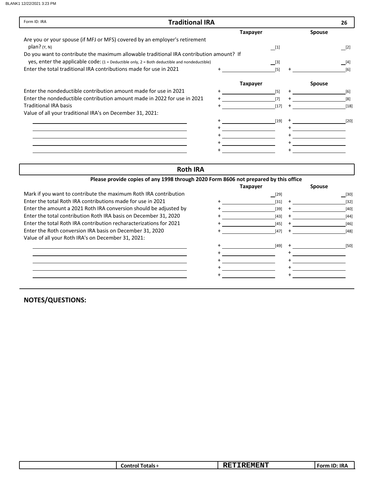| Form ID: IRA<br><b>Traditional IRA</b>                                                                                                                                                      |                 |        |               | 26     |
|---------------------------------------------------------------------------------------------------------------------------------------------------------------------------------------------|-----------------|--------|---------------|--------|
|                                                                                                                                                                                             | <b>Taxpayer</b> |        | <b>Spouse</b> |        |
| Are you or your spouse (if MFJ or MFS) covered by an employer's retirement<br>$plan?$ (Y, N)                                                                                                | [1]             |        |               | [2]    |
| Do you want to contribute the maximum allowable traditional IRA contribution amount? If<br>yes, enter the applicable code: $(1 =$ Deductible only, $2 =$ Both deductible and nondeductible) | [3]             |        |               | [4]    |
| Enter the total traditional IRA contributions made for use in 2021                                                                                                                          | [5]             |        |               | [6]    |
|                                                                                                                                                                                             | <b>Taxpayer</b> |        | <b>Spouse</b> |        |
| Enter the nondeductible contribution amount made for use in 2021                                                                                                                            | [5]             |        |               | [6]    |
| Enter the nondeductible contribution amount made in 2022 for use in 2021                                                                                                                    | [7]             |        |               | [8]    |
| <b>Traditional IRA basis</b>                                                                                                                                                                | $[17]$          | $\div$ |               | $[18]$ |
| Value of all your traditional IRA's on December 31, 2021:                                                                                                                                   |                 |        |               |        |
|                                                                                                                                                                                             | $[19]$          |        |               | $[20]$ |
|                                                                                                                                                                                             |                 |        |               |        |
|                                                                                                                                                                                             |                 |        |               |        |
|                                                                                                                                                                                             |                 |        |               |        |
|                                                                                                                                                                                             |                 |        |               |        |

#### Roth IRA

|        |                 | <b>Spouse</b> |                                                                                      |
|--------|-----------------|---------------|--------------------------------------------------------------------------------------|
| [29]   |                 |               | [30]                                                                                 |
| $[31]$ |                 |               | $[32]$                                                                               |
| $[39]$ |                 |               | $[40]$                                                                               |
| $[43]$ |                 |               | $[44]$                                                                               |
| [45]   |                 |               | $[46]$                                                                               |
| $[47]$ |                 |               | $[48]$                                                                               |
|        |                 |               |                                                                                      |
| $[49]$ |                 |               | $[50]$                                                                               |
|        |                 |               |                                                                                      |
|        |                 |               |                                                                                      |
|        |                 |               |                                                                                      |
|        |                 |               |                                                                                      |
|        | <b>Taxpayer</b> |               | Please provide copies of any 1998 through 2020 Form 8606 not prepared by this office |

| <b>IDA</b><br><b>EMENT</b><br>Fotals -<br>∟ontr∕<br>IK/<br>orr<br>m<br>ш<br>.<br>. |
|------------------------------------------------------------------------------------|
|------------------------------------------------------------------------------------|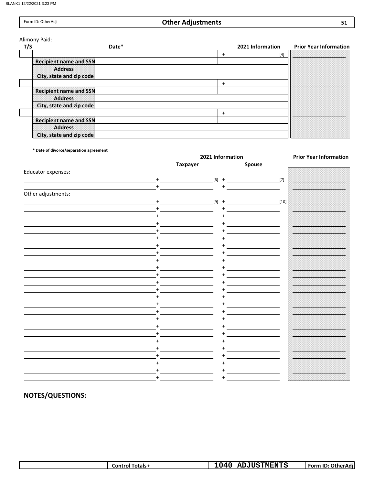# Other Adjustments

Alimony Paid:

| T/S | Date*                         |   | 2021 Information | <b>Prior Year Information</b> |
|-----|-------------------------------|---|------------------|-------------------------------|
|     |                               | + | $[4]$            |                               |
|     | <b>Recipient name and SSN</b> |   |                  |                               |
|     | <b>Address</b>                |   |                  |                               |
|     | City, state and zip code      |   |                  |                               |
|     |                               |   |                  |                               |
|     | <b>Recipient name and SSN</b> |   |                  |                               |
|     | <b>Address</b>                |   |                  |                               |
|     | City, state and zip code      |   |                  |                               |
|     |                               |   |                  |                               |
|     | <b>Recipient name and SSN</b> |   |                  |                               |
|     | <b>Address</b>                |   |                  |                               |
|     | City, state and zip code      |   |                  |                               |

\* Date of divorce/separation agreement

|                    |                 | 2021 Information | <b>Prior Year Information</b> |
|--------------------|-----------------|------------------|-------------------------------|
|                    | <b>Taxpayer</b> | Spouse           |                               |
| Educator expenses: |                 |                  |                               |
| $+$                |                 | $[6]$ + $[7]$    |                               |
| $+$                |                 | $+$              |                               |
|                    |                 |                  |                               |
| Other adjustments: |                 |                  |                               |
| $+$                | $[9]$ +         | $[10]$           |                               |
| $+$                |                 | $\ddot{}$        |                               |
| $\ddot{}$          |                 |                  |                               |
| $+$                |                 |                  |                               |
| $\ddot{}$          |                 |                  |                               |
| $\ddot{}$          |                 |                  |                               |
| $\ddot{}$          |                 |                  |                               |
| $\ddot{}$          |                 |                  |                               |
| $\ddot{}$          |                 |                  |                               |
| $\ddot{}$          |                 |                  |                               |
|                    |                 |                  |                               |
| $\ddot{}$          |                 |                  |                               |
| $\ddot{}$          |                 |                  |                               |
| $\ddot{}$          |                 |                  |                               |
| $+$                |                 |                  |                               |
|                    |                 |                  |                               |
| $\ddot{}$          |                 |                  |                               |
| $\ddot{}$          |                 |                  |                               |
| $+$                |                 |                  |                               |
| $+$                |                 |                  |                               |
|                    |                 |                  |                               |
|                    |                 |                  |                               |
| $\ddot{}$          |                 |                  |                               |
| $\ddot{}$          |                 |                  |                               |
| $+$                |                 |                  |                               |
| $\ddot{}$          |                 | +                |                               |
| $\ddot{}$          |                 |                  |                               |
|                    |                 |                  |                               |

| <b>Control Totals</b> + | <b>ADJUSTMENTS</b> | <br>Form ID: OtherAdi |
|-------------------------|--------------------|-----------------------|
|                         |                    |                       |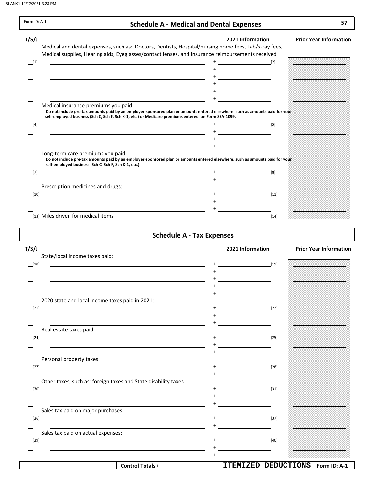Г

| Form ID: A-1 | <b>Schedule A - Medical and Dental Expenses</b>                                                                                                                                                                                                                                                                                                                                                                                                                                                                                               | 57                            |
|--------------|-----------------------------------------------------------------------------------------------------------------------------------------------------------------------------------------------------------------------------------------------------------------------------------------------------------------------------------------------------------------------------------------------------------------------------------------------------------------------------------------------------------------------------------------------|-------------------------------|
| T/S/J        | 2021 Information<br>Medical and dental expenses, such as: Doctors, Dentists, Hospital/nursing home fees, Lab/x-ray fees,                                                                                                                                                                                                                                                                                                                                                                                                                      | <b>Prior Year Information</b> |
| $\boxed{1}$  | Medical supplies, Hearing aids, Eyeglasses/contact lenses, and Insurance reimbursements received<br><u> 1989 - Johann Barnett, fransk politiker (d. 1989)</u><br><u> 1989 - Jan Salaman Salaman (j. 1989)</u><br>the control of the control of the control of the control of the control of the control of the control of the control of the control of the control of the control of the control of the control of the control of the control                                                                                                |                               |
| $[4]$        | Medical insurance premiums you paid:<br>Do not include pre-tax amounts paid by an employer-sponsored plan or amounts entered elsewhere, such as amounts paid for your<br>self-employed business (Sch C, Sch F, Sch K-1, etc.) or Medicare premiums entered on Form SSA-1099.<br>$\overline{\phantom{a}}$ [5]<br>the control of the control of the control of the control of the control of the control of the control of the control of the control of the control of the control of the control of the control of the control of the control |                               |
|              | Long-term care premiums you paid:<br>Do not include pre-tax amounts paid by an employer-sponsored plan or amounts entered elsewhere, such as amounts paid for your<br>self-employed business (Sch C, Sch F, Sch K-1, etc.)                                                                                                                                                                                                                                                                                                                    |                               |
| [7]          | [8]<br><u> 1980 - Jan Barnett, fransk politik (d. 1980)</u>                                                                                                                                                                                                                                                                                                                                                                                                                                                                                   |                               |
| $[10]$       | Prescription medicines and drugs:<br>$[11]$<br>the control of the control of the control of the control of the control of the control of the control of the control of the control of the control of the control of the control of the control of the control of the control                                                                                                                                                                                                                                                                  |                               |
|              | [13] Miles driven for medical items<br>[14]                                                                                                                                                                                                                                                                                                                                                                                                                                                                                                   |                               |

# Schedule A - Tax Expenses

| T/S/J                                           |                                                                                                                                                                                                                               | 2021 Information                                                                                                      |        | <b>Prior Year Information</b> |  |
|-------------------------------------------------|-------------------------------------------------------------------------------------------------------------------------------------------------------------------------------------------------------------------------------|-----------------------------------------------------------------------------------------------------------------------|--------|-------------------------------|--|
| State/local income taxes paid:                  |                                                                                                                                                                                                                               |                                                                                                                       |        |                               |  |
| $^{[18]}$                                       | <u> 1980 - Johann Barn, fransk politik (f. 1980)</u>                                                                                                                                                                          |                                                                                                                       |        |                               |  |
|                                                 |                                                                                                                                                                                                                               |                                                                                                                       |        |                               |  |
|                                                 |                                                                                                                                                                                                                               |                                                                                                                       |        |                               |  |
|                                                 | the control of the control of the control of the control of the control of the control of the control of the control of the control of the control of the control of the control of the control of the control of the control | the control of the control of the                                                                                     |        |                               |  |
|                                                 |                                                                                                                                                                                                                               |                                                                                                                       |        |                               |  |
| 2020 state and local income taxes paid in 2021: |                                                                                                                                                                                                                               |                                                                                                                       |        |                               |  |
| $\boxed{[21]}$                                  | <u> 1989 - Johann Barbara, martxa alemaniar argametria (h. 1989).</u>                                                                                                                                                         |                                                                                                                       |        |                               |  |
|                                                 | the control of the control of the control of the control of the control of the control of the control of the control of the control of the control of the control of the control of the control of the control of the control | <u> 1989 - Jan Stein Stein Stein Stein Stein Stein Stein Stein Stein Stein Stein Stein Stein Stein Stein Stein S</u>  |        |                               |  |
| Real estate taxes paid:                         |                                                                                                                                                                                                                               |                                                                                                                       |        |                               |  |
|                                                 |                                                                                                                                                                                                                               |                                                                                                                       |        |                               |  |
| $[24]$                                          | <u> 1989 - Jan Samuel Barbara, martin da shekara tsara 1989 - Andrea Samuel Barbara, marka a shekara 1980 - Andre</u>                                                                                                         | $\overline{\phantom{a}1}$ [25]                                                                                        |        |                               |  |
|                                                 |                                                                                                                                                                                                                               |                                                                                                                       |        |                               |  |
| Personal property taxes:                        | <u> 1989 - Johann Stoff, amerikansk politiker (d. 1989)</u>                                                                                                                                                                   |                                                                                                                       |        |                               |  |
| $[27]$                                          | <u> 1980 - Johann Stoff, deutscher Stoff, der Stoff, der Stoff, der Stoff, der Stoff, der Stoff, der Stoff, der S</u>                                                                                                         |                                                                                                                       |        |                               |  |
|                                                 |                                                                                                                                                                                                                               |                                                                                                                       |        |                               |  |
|                                                 | Other taxes, such as: foreign taxes and State disability taxes                                                                                                                                                                |                                                                                                                       |        |                               |  |
| $[30]$                                          | <u> 1989 - Johann Barbara, martxa alemaniar amerikan a</u>                                                                                                                                                                    | $+$ $[31]$                                                                                                            |        |                               |  |
|                                                 |                                                                                                                                                                                                                               |                                                                                                                       |        |                               |  |
|                                                 |                                                                                                                                                                                                                               |                                                                                                                       |        |                               |  |
| Sales tax paid on major purchases:              |                                                                                                                                                                                                                               |                                                                                                                       |        |                               |  |
| $[36]$                                          | <u> 1989 - Johann Barbara, martxa alemaniar amerikan a</u>                                                                                                                                                                    |                                                                                                                       |        |                               |  |
|                                                 |                                                                                                                                                                                                                               |                                                                                                                       |        |                               |  |
| Sales tax paid on actual expenses:              |                                                                                                                                                                                                                               |                                                                                                                       |        |                               |  |
| $\boxed{39}$                                    |                                                                                                                                                                                                                               | <u> 1990 - Johann John Stein, markin santa shekara 1990 - Shekara 1990 - Shekara 1990 - Shekara 1990 - Shekara 19</u> | $[40]$ |                               |  |
|                                                 | <u> 1989 - Johann Barnett, fransk politiker (d. 1989)</u>                                                                                                                                                                     |                                                                                                                       |        |                               |  |
|                                                 |                                                                                                                                                                                                                               |                                                                                                                       |        |                               |  |
|                                                 | <b>Control Totals+</b>                                                                                                                                                                                                        | ITEMIZED DEDUCTIONS   Form ID: A-1                                                                                    |        |                               |  |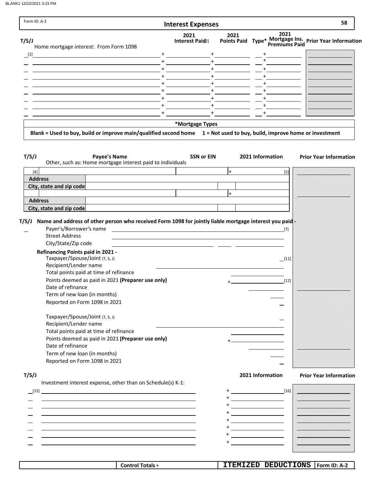$\overline{\phantom{a}}$ 

| Form ID: A-2                                                                                                                                                                     | <b>Interest Expenses</b>                                                                                                                                                                                                                                                                                                                                                                   |                                                                                                                                                                                                                                                                                                                                                                                                                                       | 58                            |
|----------------------------------------------------------------------------------------------------------------------------------------------------------------------------------|--------------------------------------------------------------------------------------------------------------------------------------------------------------------------------------------------------------------------------------------------------------------------------------------------------------------------------------------------------------------------------------------|---------------------------------------------------------------------------------------------------------------------------------------------------------------------------------------------------------------------------------------------------------------------------------------------------------------------------------------------------------------------------------------------------------------------------------------|-------------------------------|
| T/S/J                                                                                                                                                                            | 2021<br>2021<br>Interest Paid <sub>2</sub>                                                                                                                                                                                                                                                                                                                                                 | 2021<br>Points Paid Type* Mortgage Ins. Prior Year Information                                                                                                                                                                                                                                                                                                                                                                        |                               |
| Home mortgage interest: From Form 1098<br>$\lfloor 1 \rfloor$                                                                                                                    | $\begin{picture}(20,20)(-0,0) \put(0,0){\dashbox{0.5}(20,0){ }} \put(15,0){\circle{10}} \put(15,0){\circle{10}} \put(15,0){\circle{10}} \put(15,0){\circle{10}} \put(15,0){\circle{10}} \put(15,0){\circle{10}} \put(15,0){\circle{10}} \put(15,0){\circle{10}} \put(15,0){\circle{10}} \put(15,0){\circle{10}} \put(15,0){\circle{10}} \put(15,0){\circle{10}} \put(15,0){\circle{10}} \$ |                                                                                                                                                                                                                                                                                                                                                                                                                                       |                               |
|                                                                                                                                                                                  | $+$                                                                                                                                                                                                                                                                                                                                                                                        |                                                                                                                                                                                                                                                                                                                                                                                                                                       |                               |
| <u> 1980 - Jan Stein Harry Harry Harry Harry Harry Harry Harry Harry Harry Harry Harry Harry Harry Harry Harry Ha</u>                                                            |                                                                                                                                                                                                                                                                                                                                                                                            |                                                                                                                                                                                                                                                                                                                                                                                                                                       |                               |
|                                                                                                                                                                                  |                                                                                                                                                                                                                                                                                                                                                                                            |                                                                                                                                                                                                                                                                                                                                                                                                                                       |                               |
|                                                                                                                                                                                  |                                                                                                                                                                                                                                                                                                                                                                                            |                                                                                                                                                                                                                                                                                                                                                                                                                                       |                               |
|                                                                                                                                                                                  | $+$<br>$+$                                                                                                                                                                                                                                                                                                                                                                                 |                                                                                                                                                                                                                                                                                                                                                                                                                                       |                               |
|                                                                                                                                                                                  | $+$ $  -$<br>$\overline{\phantom{a}}$ $\overline{\phantom{a}}$ $\overline{\phantom{a}}$ $\overline{\phantom{a}}$ $\overline{\phantom{a}}$<br>$+$                                                                                                                                                                                                                                           |                                                                                                                                                                                                                                                                                                                                                                                                                                       |                               |
|                                                                                                                                                                                  | $+$ $  -$<br>$\begin{tabular}{c} + & \multicolumn{2}{c}{} & \multicolumn{2}{c}{} \\ + & \multicolumn{2}{c}{} & \multicolumn{2}{c}{} \\ \end{tabular}$                                                                                                                                                                                                                                      |                                                                                                                                                                                                                                                                                                                                                                                                                                       |                               |
|                                                                                                                                                                                  | *Mortgage Types                                                                                                                                                                                                                                                                                                                                                                            |                                                                                                                                                                                                                                                                                                                                                                                                                                       |                               |
| Blank = Used to buy, build or improve main/qualified second home 1 = Not used to buy, build, improve home or investment                                                          |                                                                                                                                                                                                                                                                                                                                                                                            |                                                                                                                                                                                                                                                                                                                                                                                                                                       |                               |
|                                                                                                                                                                                  |                                                                                                                                                                                                                                                                                                                                                                                            |                                                                                                                                                                                                                                                                                                                                                                                                                                       |                               |
| T/S/J<br><b>Payee's Name</b><br>Other, such as: Home mortgage interest paid to individuals                                                                                       | <b>SSN or EIN</b>                                                                                                                                                                                                                                                                                                                                                                          | 2021 Information                                                                                                                                                                                                                                                                                                                                                                                                                      | <b>Prior Year Information</b> |
| $[4]$                                                                                                                                                                            | $\ddot{}$                                                                                                                                                                                                                                                                                                                                                                                  | $[5]$                                                                                                                                                                                                                                                                                                                                                                                                                                 |                               |
| <b>Address</b>                                                                                                                                                                   |                                                                                                                                                                                                                                                                                                                                                                                            |                                                                                                                                                                                                                                                                                                                                                                                                                                       |                               |
| City, state and zip code                                                                                                                                                         |                                                                                                                                                                                                                                                                                                                                                                                            |                                                                                                                                                                                                                                                                                                                                                                                                                                       |                               |
| <b>Address</b>                                                                                                                                                                   | $\ddot{}$                                                                                                                                                                                                                                                                                                                                                                                  |                                                                                                                                                                                                                                                                                                                                                                                                                                       |                               |
| City, state and zip code                                                                                                                                                         |                                                                                                                                                                                                                                                                                                                                                                                            |                                                                                                                                                                                                                                                                                                                                                                                                                                       |                               |
| Name and address of other person who received Form 1098 for jointly liable mortgage interest you paid<br>Payer's/Borrower's name<br><b>Street Address</b><br>City/State/Zip code | <u> 1980 - Jan Samuel Barbara, margaret eta idazlea (h. 1980).</u><br><u> 1980 - Jan James, maria al II-lea (h. 1980).</u>                                                                                                                                                                                                                                                                 | $[7]$                                                                                                                                                                                                                                                                                                                                                                                                                                 |                               |
| <b>Refinancing Points paid in 2021 -</b>                                                                                                                                         |                                                                                                                                                                                                                                                                                                                                                                                            |                                                                                                                                                                                                                                                                                                                                                                                                                                       |                               |
| Taxpayer/Spouse/Joint (T, S, J)                                                                                                                                                  |                                                                                                                                                                                                                                                                                                                                                                                            | $\boxed{11}$                                                                                                                                                                                                                                                                                                                                                                                                                          |                               |
| Recipient/Lender name<br>Total points paid at time of refinance                                                                                                                  |                                                                                                                                                                                                                                                                                                                                                                                            |                                                                                                                                                                                                                                                                                                                                                                                                                                       |                               |
| Points deemed as paid in 2021 (Preparer use only)                                                                                                                                |                                                                                                                                                                                                                                                                                                                                                                                            | $[12]$                                                                                                                                                                                                                                                                                                                                                                                                                                |                               |
| Date of refinance                                                                                                                                                                |                                                                                                                                                                                                                                                                                                                                                                                            |                                                                                                                                                                                                                                                                                                                                                                                                                                       |                               |
| Term of new loan (in months)                                                                                                                                                     |                                                                                                                                                                                                                                                                                                                                                                                            |                                                                                                                                                                                                                                                                                                                                                                                                                                       |                               |
| Reported on Form 1098 in 2021                                                                                                                                                    |                                                                                                                                                                                                                                                                                                                                                                                            |                                                                                                                                                                                                                                                                                                                                                                                                                                       |                               |
|                                                                                                                                                                                  |                                                                                                                                                                                                                                                                                                                                                                                            |                                                                                                                                                                                                                                                                                                                                                                                                                                       |                               |
| Taxpayer/Spouse/Joint (T, S, J)<br>Recipient/Lender name                                                                                                                         |                                                                                                                                                                                                                                                                                                                                                                                            |                                                                                                                                                                                                                                                                                                                                                                                                                                       |                               |
| Total points paid at time of refinance                                                                                                                                           |                                                                                                                                                                                                                                                                                                                                                                                            |                                                                                                                                                                                                                                                                                                                                                                                                                                       |                               |
| Points deemed as paid in 2021 (Preparer use only)                                                                                                                                |                                                                                                                                                                                                                                                                                                                                                                                            |                                                                                                                                                                                                                                                                                                                                                                                                                                       |                               |
| Date of refinance                                                                                                                                                                |                                                                                                                                                                                                                                                                                                                                                                                            |                                                                                                                                                                                                                                                                                                                                                                                                                                       |                               |
| Term of new loan (in months)                                                                                                                                                     |                                                                                                                                                                                                                                                                                                                                                                                            |                                                                                                                                                                                                                                                                                                                                                                                                                                       |                               |
| Reported on Form 1098 in 2021                                                                                                                                                    |                                                                                                                                                                                                                                                                                                                                                                                            |                                                                                                                                                                                                                                                                                                                                                                                                                                       |                               |
| T/S/J                                                                                                                                                                            |                                                                                                                                                                                                                                                                                                                                                                                            | 2021 Information                                                                                                                                                                                                                                                                                                                                                                                                                      | <b>Prior Year Information</b> |
| Investment interest expense, other than on Schedule(s) K-1:                                                                                                                      |                                                                                                                                                                                                                                                                                                                                                                                            |                                                                                                                                                                                                                                                                                                                                                                                                                                       |                               |
| [15]                                                                                                                                                                             |                                                                                                                                                                                                                                                                                                                                                                                            | $\begin{array}{c c} \hline \rule[0.2cm]{0cm}{0.2cm} \end{array} \hspace{1.2cm} \begin{array}{c} \hline \rule[0.2cm]{0cm}{0.2cm} \end{array} \hspace{1.2cm} \begin{array}{c} \hline \rule[0.2cm]{0cm}{0.2cm} \end{array} \hspace{1.2cm} \begin{array}{c} \hline \rule[0.2cm]{0cm}{0.2cm} \end{array} \hspace{1.2cm} \begin{array}{c} \hline \rule[0.2cm]{0cm}{0.2cm} \end{array} \hspace{1.2cm} \begin{array}{c} \hline \rule[0.2cm]{$ |                               |
|                                                                                                                                                                                  |                                                                                                                                                                                                                                                                                                                                                                                            |                                                                                                                                                                                                                                                                                                                                                                                                                                       |                               |
|                                                                                                                                                                                  |                                                                                                                                                                                                                                                                                                                                                                                            | <u> 1989 - Johann Barbara, politik eta politik eta politik eta politik eta politik eta politik eta politik eta p</u>                                                                                                                                                                                                                                                                                                                  |                               |
|                                                                                                                                                                                  |                                                                                                                                                                                                                                                                                                                                                                                            |                                                                                                                                                                                                                                                                                                                                                                                                                                       |                               |

+ + +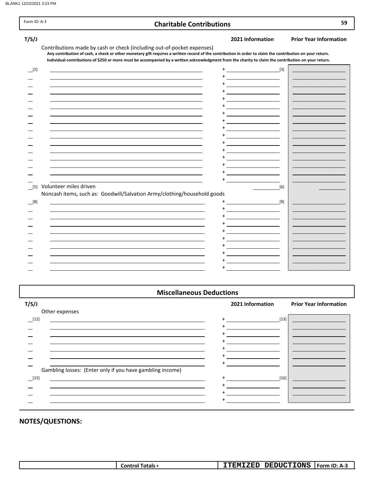| Form ID: A-3 | <b>Charitable Contributions</b>                                                                                                                                                                                                                                                                                                                                                             |       | 59                            |
|--------------|---------------------------------------------------------------------------------------------------------------------------------------------------------------------------------------------------------------------------------------------------------------------------------------------------------------------------------------------------------------------------------------------|-------|-------------------------------|
| T/S/J        | 2021 Information                                                                                                                                                                                                                                                                                                                                                                            |       | <b>Prior Year Information</b> |
|              | Contributions made by cash or check (including out-of-pocket expenses)<br>Any contribution of cash, a check or other monetary gift requires a written record of the contribution in order to claim the contribution on your return.<br>Individual contributions of \$250 or more must be accompanied by a written acknowledgment from the charity to claim the contribution on your return. |       |                               |
| $\Box$ [2]   | $+$ [3]                                                                                                                                                                                                                                                                                                                                                                                     |       |                               |
|              |                                                                                                                                                                                                                                                                                                                                                                                             |       |                               |
|              | $\overline{\phantom{a}}$                                                                                                                                                                                                                                                                                                                                                                    |       |                               |
|              |                                                                                                                                                                                                                                                                                                                                                                                             |       |                               |
|              | <u> 1989 - Johann Barnett, fransk politiker (</u>                                                                                                                                                                                                                                                                                                                                           |       |                               |
|              | <u> 1989 - Jan Stein Stein Stein Stein Stein Stein Stein Stein Stein Stein Stein Stein Stein Stein Stein Stein S</u>                                                                                                                                                                                                                                                                        |       |                               |
|              | <u> Albanya (Albanya)</u>                                                                                                                                                                                                                                                                                                                                                                   |       |                               |
|              | <u> 1989 - Andrea Station Books, amerikansk politiker (</u>                                                                                                                                                                                                                                                                                                                                 |       |                               |
|              |                                                                                                                                                                                                                                                                                                                                                                                             |       |                               |
|              |                                                                                                                                                                                                                                                                                                                                                                                             |       |                               |
|              |                                                                                                                                                                                                                                                                                                                                                                                             |       |                               |
|              | <u> 1980 - Jan Stein Stein Stein Stein Stein Stein Stein Stein Stein Stein Stein Stein Stein Stein Stein Stein S</u>                                                                                                                                                                                                                                                                        |       |                               |
|              |                                                                                                                                                                                                                                                                                                                                                                                             |       |                               |
|              |                                                                                                                                                                                                                                                                                                                                                                                             |       |                               |
|              | Volunteer miles driven                                                                                                                                                                                                                                                                                                                                                                      |       |                               |
| [5]          | Noncash items, such as: Goodwill/Salvation Army/clothing/household goods                                                                                                                                                                                                                                                                                                                    | $[6]$ |                               |
| [8]          | [9]                                                                                                                                                                                                                                                                                                                                                                                         |       |                               |
|              | <u> 1980 - Jan Barnett, fransk politik (</u>                                                                                                                                                                                                                                                                                                                                                |       |                               |
|              | <u> The Communication of the Communication of the Communication of the Communication of the Communication of the Communication of the Communication of the Communication of the Communication of the Communication of the Commun</u>                                                                                                                                                        |       |                               |
|              | the contract of the contract of the contract of                                                                                                                                                                                                                                                                                                                                             |       |                               |
|              |                                                                                                                                                                                                                                                                                                                                                                                             |       |                               |
|              |                                                                                                                                                                                                                                                                                                                                                                                             |       |                               |
|              |                                                                                                                                                                                                                                                                                                                                                                                             |       |                               |
|              |                                                                                                                                                                                                                                                                                                                                                                                             |       |                               |
|              | <u> El antiga de la conte</u>                                                                                                                                                                                                                                                                                                                                                               |       |                               |
|              |                                                                                                                                                                                                                                                                                                                                                                                             |       |                               |

#### Miscellaneous Deductions

#### T/S/J 2021 Information Prior Year Information Other expenses  $[12]$  +  $[13]$ + +  $\overline{a}$ + Ξ +  $\overline{\phantom{0}}$ + ÷, +  $\overline{\phantom{0}}$ +  $\overline{\phantom{0}}$ Gambling losses: (Enter only if you have gambling income)  $\frac{15}{16}$  +  $\frac{1}{16}$  [16] + + +  $+$  $\overline{\phantom{a}}$

| <b>DEDUCTIONS</b><br><b>ITEMIZED</b><br>Form $ID: A-3$<br>Totals -<br>Control <sup>-</sup> |
|--------------------------------------------------------------------------------------------|
|--------------------------------------------------------------------------------------------|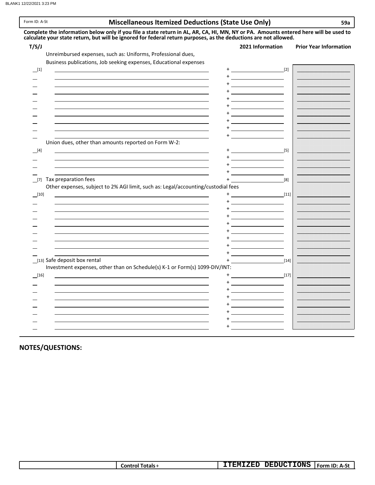#### Form ID: A-St **Example 20 and State Use Only S9a** 59a

|                                                                                                                                                                                                                               | 2021 Information                                                                                                                                                                                                                                                                                                                                                                             | <b>Prior Year Information</b>                                                                                        |
|-------------------------------------------------------------------------------------------------------------------------------------------------------------------------------------------------------------------------------|----------------------------------------------------------------------------------------------------------------------------------------------------------------------------------------------------------------------------------------------------------------------------------------------------------------------------------------------------------------------------------------------|----------------------------------------------------------------------------------------------------------------------|
| Unreimbursed expenses, such as: Uniforms, Professional dues,                                                                                                                                                                  |                                                                                                                                                                                                                                                                                                                                                                                              |                                                                                                                      |
| Business publications, Job seeking expenses, Educational expenses                                                                                                                                                             |                                                                                                                                                                                                                                                                                                                                                                                              |                                                                                                                      |
|                                                                                                                                                                                                                               | $+\underline{\hspace{1.5cm}} \hspace{1.5cm} [2]$                                                                                                                                                                                                                                                                                                                                             |                                                                                                                      |
|                                                                                                                                                                                                                               | $\begin{picture}(20,20)(-0,0) \put(0,0){\dashbox{0.5}(5,0){ }} \put(15,0){\circle{10}} \put(15,0){\circle{10}} \put(15,0){\circle{10}} \put(15,0){\circle{10}} \put(15,0){\circle{10}} \put(15,0){\circle{10}} \put(15,0){\circle{10}} \put(15,0){\circle{10}} \put(15,0){\circle{10}} \put(15,0){\circle{10}} \put(15,0){\circle{10}} \put(15,0){\circle{10}} \put(15,0){\circle{10}} \put$ |                                                                                                                      |
|                                                                                                                                                                                                                               | $+$ <u>- <math>   -</math></u>                                                                                                                                                                                                                                                                                                                                                               |                                                                                                                      |
|                                                                                                                                                                                                                               | <u> Albanya (Albanya)</u>                                                                                                                                                                                                                                                                                                                                                                    |                                                                                                                      |
|                                                                                                                                                                                                                               |                                                                                                                                                                                                                                                                                                                                                                                              |                                                                                                                      |
|                                                                                                                                                                                                                               |                                                                                                                                                                                                                                                                                                                                                                                              |                                                                                                                      |
|                                                                                                                                                                                                                               |                                                                                                                                                                                                                                                                                                                                                                                              |                                                                                                                      |
|                                                                                                                                                                                                                               |                                                                                                                                                                                                                                                                                                                                                                                              |                                                                                                                      |
| the control of the control of the control of the control of the control of the control of the control of the control of the control of the control of the control of the control of the control of the control of the control |                                                                                                                                                                                                                                                                                                                                                                                              |                                                                                                                      |
| <u> 1989 - Johann Barbara, martxa alemaniar amerikan a</u>                                                                                                                                                                    |                                                                                                                                                                                                                                                                                                                                                                                              |                                                                                                                      |
| Union dues, other than amounts reported on Form W-2:                                                                                                                                                                          | + <u>___________________</u>                                                                                                                                                                                                                                                                                                                                                                 |                                                                                                                      |
|                                                                                                                                                                                                                               |                                                                                                                                                                                                                                                                                                                                                                                              |                                                                                                                      |
|                                                                                                                                                                                                                               |                                                                                                                                                                                                                                                                                                                                                                                              |                                                                                                                      |
| the control of the control of the control of the control of the control of the control of the control of the control of the control of the control of the control of the control of the control of the control of the control |                                                                                                                                                                                                                                                                                                                                                                                              |                                                                                                                      |
|                                                                                                                                                                                                                               |                                                                                                                                                                                                                                                                                                                                                                                              |                                                                                                                      |
|                                                                                                                                                                                                                               | <u>+___________________</u> _                                                                                                                                                                                                                                                                                                                                                                |                                                                                                                      |
| [7] Tax preparation fees<br>$+$                                                                                                                                                                                               | [8]                                                                                                                                                                                                                                                                                                                                                                                          | <u>  Esternativo de la conte</u>                                                                                     |
| Other expenses, subject to 2% AGI limit, such as: Legal/accounting/custodial fees                                                                                                                                             |                                                                                                                                                                                                                                                                                                                                                                                              |                                                                                                                      |
| $\boxed{10}$                                                                                                                                                                                                                  | $+$ [11]                                                                                                                                                                                                                                                                                                                                                                                     |                                                                                                                      |
|                                                                                                                                                                                                                               | $+$ <u>- <math>-</math> - <math>-</math> - <math>-</math></u>                                                                                                                                                                                                                                                                                                                                |                                                                                                                      |
|                                                                                                                                                                                                                               |                                                                                                                                                                                                                                                                                                                                                                                              |                                                                                                                      |
|                                                                                                                                                                                                                               |                                                                                                                                                                                                                                                                                                                                                                                              |                                                                                                                      |
|                                                                                                                                                                                                                               |                                                                                                                                                                                                                                                                                                                                                                                              |                                                                                                                      |
|                                                                                                                                                                                                                               |                                                                                                                                                                                                                                                                                                                                                                                              |                                                                                                                      |
|                                                                                                                                                                                                                               |                                                                                                                                                                                                                                                                                                                                                                                              |                                                                                                                      |
|                                                                                                                                                                                                                               | <u>+ ___________________</u>                                                                                                                                                                                                                                                                                                                                                                 |                                                                                                                      |
|                                                                                                                                                                                                                               | <u> 1990 - Johann Barbara, mart</u>                                                                                                                                                                                                                                                                                                                                                          |                                                                                                                      |
| [13] Safe deposit box rental                                                                                                                                                                                                  | $+$ [14]                                                                                                                                                                                                                                                                                                                                                                                     |                                                                                                                      |
| Investment expenses, other than on Schedule(s) K-1 or Form(s) 1099-DIV/INT:                                                                                                                                                   |                                                                                                                                                                                                                                                                                                                                                                                              |                                                                                                                      |
|                                                                                                                                                                                                                               |                                                                                                                                                                                                                                                                                                                                                                                              |                                                                                                                      |
| [16]                                                                                                                                                                                                                          |                                                                                                                                                                                                                                                                                                                                                                                              |                                                                                                                      |
|                                                                                                                                                                                                                               | $+$ <u>____________________</u>                                                                                                                                                                                                                                                                                                                                                              |                                                                                                                      |
| <u> 1989 - Johann Barbara, marka a shekara tsa 1989 - An tsa 1989 - An tsa 1989 - An tsa 1989 - An tsa 1989 - An</u>                                                                                                          |                                                                                                                                                                                                                                                                                                                                                                                              |                                                                                                                      |
| the control of the control of the control of the control of the control of the control of the control of the control of the control of the control of the control of the control of the control of the control of the control | <u> 1980 - Johann Barnett, fransk politiker (</u>                                                                                                                                                                                                                                                                                                                                            | <u> Albanya di Barat Barat di Barat Barat Barat di Barat di Barat Barat di Barat di Barat Barat di Barat di Bara</u> |
|                                                                                                                                                                                                                               |                                                                                                                                                                                                                                                                                                                                                                                              |                                                                                                                      |
|                                                                                                                                                                                                                               | <u> 1990 - Johann Barbara, martin a</u>                                                                                                                                                                                                                                                                                                                                                      |                                                                                                                      |

|  |  | contro'<br>Totals | <i>A</i> IZED<br>FМ | <b>DEDUCTIONS</b> | <b>ID: A-St</b><br>Form |
|--|--|-------------------|---------------------|-------------------|-------------------------|
|--|--|-------------------|---------------------|-------------------|-------------------------|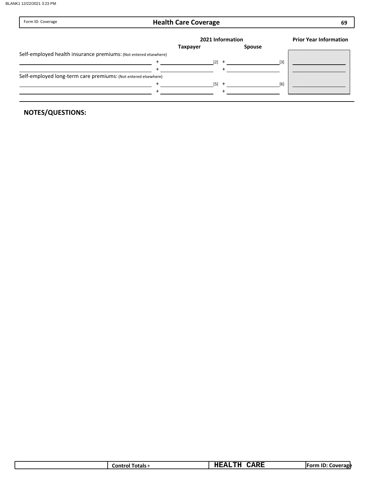| Form ID: Coverage                                                | <b>Health Care Coverage</b> |                  |     | 69                            |
|------------------------------------------------------------------|-----------------------------|------------------|-----|-------------------------------|
|                                                                  |                             | 2021 Information |     | <b>Prior Year Information</b> |
|                                                                  | <b>Taxpayer</b>             | <b>Spouse</b>    |     |                               |
| Self-employed health insurance premiums: (Not entered elsewhere) |                             |                  |     |                               |
|                                                                  |                             | $[2]$ +          | [3] |                               |
|                                                                  |                             |                  |     |                               |
| Self-employed long-term care premiums: (Not entered elsewhere)   |                             |                  |     |                               |
|                                                                  |                             | $[5]$ +          | [6] |                               |
|                                                                  |                             |                  |     |                               |
|                                                                  |                             |                  |     |                               |

|  |  | Fotals:<br>Lontro! | -- -<br><b>MTT</b><br>-415 -<br>.<br>. | $-$<br>عمص | . ID<br><b>FOLL</b><br>Coverage |
|--|--|--------------------|----------------------------------------|------------|---------------------------------|
|--|--|--------------------|----------------------------------------|------------|---------------------------------|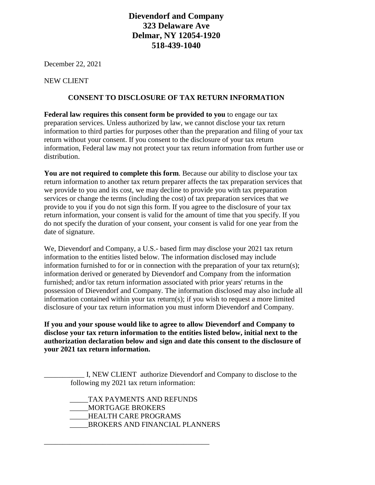# **Dievendorf and Company 323 Delaware Ave Delmar, NY 12054-1920 518-439-1040**

December 22, 2021

NEW CLIENT

### **CONSENT TO DISCLOSURE OF TAX RETURN INFORMATION**

**Federal law requires this consent form be provided to you** to engage our tax preparation services. Unless authorized by law, we cannot disclose your tax return information to third parties for purposes other than the preparation and filing of your tax return without your consent. If you consent to the disclosure of your tax return information, Federal law may not protect your tax return information from further use or distribution.

**You are not required to complete this form**. Because our ability to disclose your tax return information to another tax return preparer affects the tax preparation services that we provide to you and its cost, we may decline to provide you with tax preparation services or change the terms (including the cost) of tax preparation services that we provide to you if you do not sign this form. If you agree to the disclosure of your tax return information, your consent is valid for the amount of time that you specify. If you do not specify the duration of your consent, your consent is valid for one year from the date of signature.

We, Dievendorf and Company, a U.S.- based firm may disclose your 2021 tax return information to the entities listed below. The information disclosed may include information furnished to for or in connection with the preparation of your tax return(s); information derived or generated by Dievendorf and Company from the information furnished; and/or tax return information associated with prior years' returns in the possession of Dievendorf and Company. The information disclosed may also include all information contained within your tax return(s); if you wish to request a more limited disclosure of your tax return information you must inform Dievendorf and Company.

**If you and your spouse would like to agree to allow Dievendorf and Company to disclose your tax return information to the entities listed below, initial next to the authorization declaration below and sign and date this consent to the disclosure of your 2021 tax return information.**

I, NEW CLIENT authorize Dievendorf and Company to disclose to the following my 2021 tax return information:

 \_\_\_\_\_TAX PAYMENTS AND REFUNDS \_\_\_\_\_MORTGAGE BROKERS \_\_\_\_\_HEALTH CARE PROGRAMS \_\_\_\_\_BROKERS AND FINANCIAL PLANNERS

\_\_\_\_\_\_\_\_\_\_\_\_\_\_\_\_\_\_\_\_\_\_\_\_\_\_\_\_\_\_\_\_\_\_\_\_\_\_\_\_\_\_\_\_\_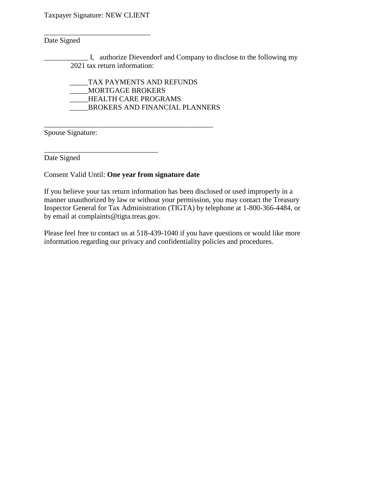Taxpayer Signature: NEW CLIENT

\_\_\_\_\_\_\_\_\_\_\_\_\_\_\_\_\_\_\_\_\_\_\_\_\_\_\_\_\_

# Date Signed

\_\_\_\_\_\_\_\_\_\_\_\_ I, authorize Dievendorf and Company to disclose to the following my 2021 tax return information:

 \_\_\_\_\_TAX PAYMENTS AND REFUNDS \_\_\_\_\_MORTGAGE BROKERS \_\_\_\_\_HEALTH CARE PROGRAMS \_\_\_\_\_BROKERS AND FINANCIAL PLANNERS

Spouse Signature:

Date Signed

Consent Valid Until: **One year from signature date**

\_\_\_\_\_\_\_\_\_\_\_\_\_\_\_\_\_\_\_\_\_\_\_\_\_\_\_\_\_\_\_

\_\_\_\_\_\_\_\_\_\_\_\_\_\_\_\_\_\_\_\_\_\_\_\_\_\_\_\_\_\_\_\_\_\_\_\_\_\_\_\_\_\_\_\_\_\_

If you believe your tax return information has been disclosed or used improperly in a manner unauthorized by law or without your permission, you may contact the Treasury Inspector General for Tax Administration (TIGTA) by telephone at 1-800-366-4484, or by email at complaints@tigta.treas.gov.

Please feel free to contact us at 518-439-1040 if you have questions or would like more information regarding our privacy and confidentiality policies and procedures.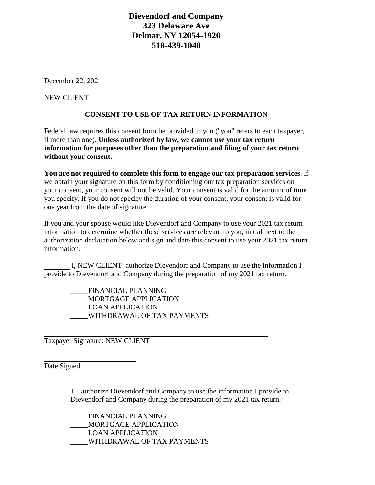# **Dievendorf and Company 323 Delaware Ave Delmar, NY 12054-1920 518-439-1040**

December 22, 2021

NEW CLIENT

#### **CONSENT TO USE OF TAX RETURN INFORMATION**

Federal law requires this consent form be provided to you ("you" refers to each taxpayer, if more than one). **Unless authorized by law, we cannot use your tax return information for purposes other than the preparation and filing of your tax return without your consent.**

**You are not required to complete this form to engage our tax preparation services**. If we obtain your signature on this form by conditioning our tax preparation services on your consent, your consent will not be valid. Your consent is valid for the amount of time you specify. If you do not specify the duration of your consent, your consent is valid for one year from the date of signature.

If you and your spouse would like Dievendorf and Company to use your 2021 tax return information to determine whether these services are relevant to you, initial next to the authorization declaration below and sign and date this consent to use your 2021 tax return information.

 I, NEW CLIENT authorize Dievendorf and Company to use the information I provide to Dievendorf and Company during the preparation of my 2021 tax return.

 \_\_\_\_\_FINANCIAL PLANNING \_\_\_\_\_MORTGAGE APPLICATION \_\_\_\_\_LOAN APPLICATION \_\_\_\_\_WITHDRAWAL OF TAX PAYMENTS

Taxpayer Signature: NEW CLIENT

Date Signed

 I, authorize Dievendorf and Company to use the information I provide to Dievendorf and Company during the preparation of my 2021 tax return.

 \_\_\_\_\_FINANCIAL PLANNING \_\_\_\_\_MORTGAGE APPLICATION \_\_\_\_\_LOAN APPLICATION \_\_\_\_\_WITHDRAWAL OF TAX PAYMENTS